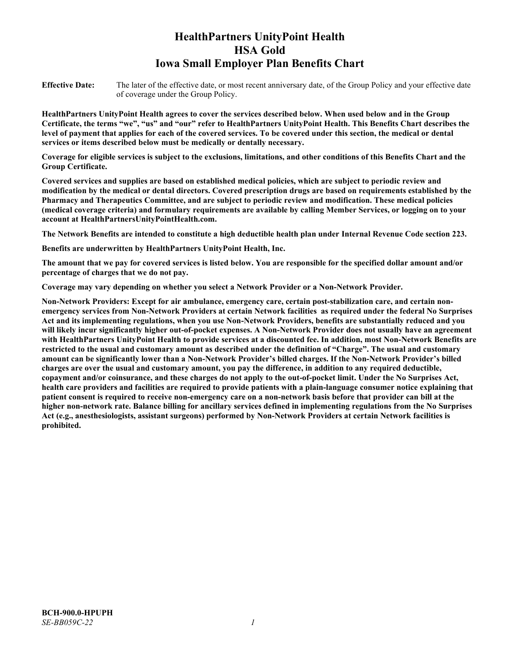# **HealthPartners UnityPoint Health HSA Gold Iowa Small Employer Plan Benefits Chart**

**Effective Date:** The later of the effective date, or most recent anniversary date, of the Group Policy and your effective date of coverage under the Group Policy.

**HealthPartners UnityPoint Health agrees to cover the services described below. When used below and in the Group Certificate, the terms "we", "us" and "our" refer to HealthPartners UnityPoint Health. This Benefits Chart describes the level of payment that applies for each of the covered services. To be covered under this section, the medical or dental services or items described below must be medically or dentally necessary.**

**Coverage for eligible services is subject to the exclusions, limitations, and other conditions of this Benefits Chart and the Group Certificate.** 

**Covered services and supplies are based on established medical policies, which are subject to periodic review and modification by the medical or dental directors. Covered prescription drugs are based on requirements established by the Pharmacy and Therapeutics Committee, and are subject to periodic review and modification. These medical policies (medical coverage criteria) and formulary requirements are available by calling Member Services, or logging on to your account at [HealthPartnersUnityPointHealth.com.](https://www.healthpartnersunitypointhealth.com/)**

**The Network Benefits are intended to constitute a high deductible health plan under Internal Revenue Code section 223.**

**Benefits are underwritten by HealthPartners UnityPoint Health, Inc.**

**The amount that we pay for covered services is listed below. You are responsible for the specified dollar amount and/or percentage of charges that we do not pay.**

**Coverage may vary depending on whether you select a Network Provider or a Non-Network Provider.**

**Non-Network Providers: Except for air ambulance, emergency care, certain post-stabilization care, and certain nonemergency services from Non-Network Providers at certain Network facilities as required under the federal No Surprises Act and its implementing regulations, when you use Non-Network Providers, benefits are substantially reduced and you will likely incur significantly higher out-of-pocket expenses. A Non-Network Provider does not usually have an agreement with HealthPartners UnityPoint Health to provide services at a discounted fee. In addition, most Non-Network Benefits are restricted to the usual and customary amount as described under the definition of "Charge". The usual and customary amount can be significantly lower than a Non-Network Provider's billed charges. If the Non-Network Provider's billed charges are over the usual and customary amount, you pay the difference, in addition to any required deductible, copayment and/or coinsurance, and these charges do not apply to the out-of-pocket limit. Under the No Surprises Act, health care providers and facilities are required to provide patients with a plain-language consumer notice explaining that patient consent is required to receive non-emergency care on a non-network basis before that provider can bill at the higher non-network rate. Balance billing for ancillary services defined in implementing regulations from the No Surprises Act (e.g., anesthesiologists, assistant surgeons) performed by Non-Network Providers at certain Network facilities is prohibited.**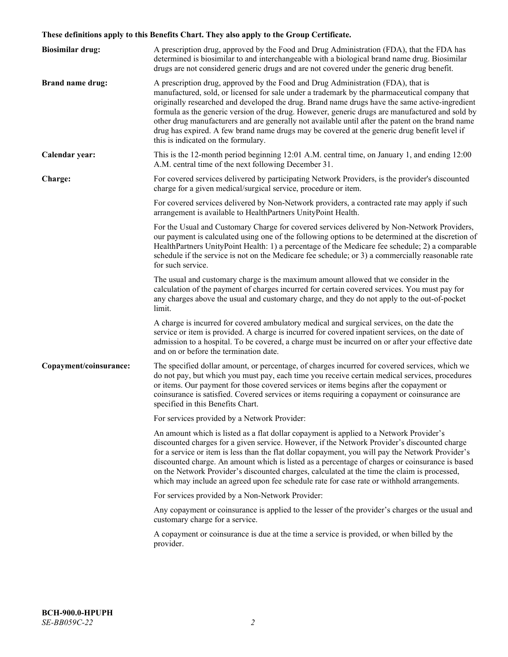# **These definitions apply to this Benefits Chart. They also apply to the Group Certificate.**

| <b>Biosimilar drug:</b> | A prescription drug, approved by the Food and Drug Administration (FDA), that the FDA has<br>determined is biosimilar to and interchangeable with a biological brand name drug. Biosimilar<br>drugs are not considered generic drugs and are not covered under the generic drug benefit.                                                                                                                                                                                                                                                                                                                                           |
|-------------------------|------------------------------------------------------------------------------------------------------------------------------------------------------------------------------------------------------------------------------------------------------------------------------------------------------------------------------------------------------------------------------------------------------------------------------------------------------------------------------------------------------------------------------------------------------------------------------------------------------------------------------------|
| <b>Brand name drug:</b> | A prescription drug, approved by the Food and Drug Administration (FDA), that is<br>manufactured, sold, or licensed for sale under a trademark by the pharmaceutical company that<br>originally researched and developed the drug. Brand name drugs have the same active-ingredient<br>formula as the generic version of the drug. However, generic drugs are manufactured and sold by<br>other drug manufacturers and are generally not available until after the patent on the brand name<br>drug has expired. A few brand name drugs may be covered at the generic drug benefit level if<br>this is indicated on the formulary. |
| Calendar year:          | This is the 12-month period beginning 12:01 A.M. central time, on January 1, and ending 12:00<br>A.M. central time of the next following December 31.                                                                                                                                                                                                                                                                                                                                                                                                                                                                              |
| Charge:                 | For covered services delivered by participating Network Providers, is the provider's discounted<br>charge for a given medical/surgical service, procedure or item.                                                                                                                                                                                                                                                                                                                                                                                                                                                                 |
|                         | For covered services delivered by Non-Network providers, a contracted rate may apply if such<br>arrangement is available to HealthPartners UnityPoint Health.                                                                                                                                                                                                                                                                                                                                                                                                                                                                      |
|                         | For the Usual and Customary Charge for covered services delivered by Non-Network Providers,<br>our payment is calculated using one of the following options to be determined at the discretion of<br>HealthPartners UnityPoint Health: 1) a percentage of the Medicare fee schedule; 2) a comparable<br>schedule if the service is not on the Medicare fee schedule; or 3) a commercially reasonable rate<br>for such service.                                                                                                                                                                                                     |
|                         | The usual and customary charge is the maximum amount allowed that we consider in the<br>calculation of the payment of charges incurred for certain covered services. You must pay for<br>any charges above the usual and customary charge, and they do not apply to the out-of-pocket<br>limit.                                                                                                                                                                                                                                                                                                                                    |
|                         | A charge is incurred for covered ambulatory medical and surgical services, on the date the<br>service or item is provided. A charge is incurred for covered inpatient services, on the date of<br>admission to a hospital. To be covered, a charge must be incurred on or after your effective date<br>and on or before the termination date.                                                                                                                                                                                                                                                                                      |
| Copayment/coinsurance:  | The specified dollar amount, or percentage, of charges incurred for covered services, which we<br>do not pay, but which you must pay, each time you receive certain medical services, procedures<br>or items. Our payment for those covered services or items begins after the copayment or<br>coinsurance is satisfied. Covered services or items requiring a copayment or coinsurance are<br>specified in this Benefits Chart.                                                                                                                                                                                                   |
|                         | For services provided by a Network Provider:                                                                                                                                                                                                                                                                                                                                                                                                                                                                                                                                                                                       |
|                         | An amount which is listed as a flat dollar copayment is applied to a Network Provider's<br>discounted charges for a given service. However, if the Network Provider's discounted charge<br>for a service or item is less than the flat dollar copayment, you will pay the Network Provider's<br>discounted charge. An amount which is listed as a percentage of charges or coinsurance is based<br>on the Network Provider's discounted charges, calculated at the time the claim is processed,<br>which may include an agreed upon fee schedule rate for case rate or withhold arrangements.                                      |
|                         | For services provided by a Non-Network Provider:                                                                                                                                                                                                                                                                                                                                                                                                                                                                                                                                                                                   |
|                         | Any copayment or coinsurance is applied to the lesser of the provider's charges or the usual and<br>customary charge for a service.                                                                                                                                                                                                                                                                                                                                                                                                                                                                                                |
|                         | A copayment or coinsurance is due at the time a service is provided, or when billed by the<br>provider.                                                                                                                                                                                                                                                                                                                                                                                                                                                                                                                            |
|                         |                                                                                                                                                                                                                                                                                                                                                                                                                                                                                                                                                                                                                                    |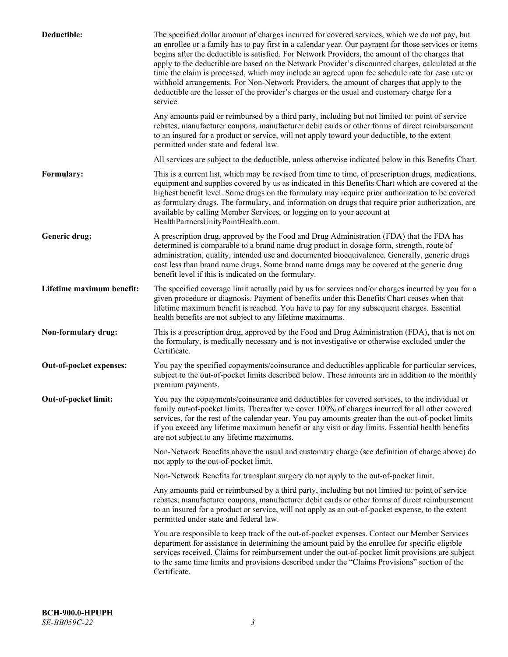| Deductible:               | The specified dollar amount of charges incurred for covered services, which we do not pay, but<br>an enrollee or a family has to pay first in a calendar year. Our payment for those services or items<br>begins after the deductible is satisfied. For Network Providers, the amount of the charges that<br>apply to the deductible are based on the Network Provider's discounted charges, calculated at the<br>time the claim is processed, which may include an agreed upon fee schedule rate for case rate or<br>withhold arrangements. For Non-Network Providers, the amount of charges that apply to the<br>deductible are the lesser of the provider's charges or the usual and customary charge for a<br>service. |
|---------------------------|----------------------------------------------------------------------------------------------------------------------------------------------------------------------------------------------------------------------------------------------------------------------------------------------------------------------------------------------------------------------------------------------------------------------------------------------------------------------------------------------------------------------------------------------------------------------------------------------------------------------------------------------------------------------------------------------------------------------------|
|                           | Any amounts paid or reimbursed by a third party, including but not limited to: point of service<br>rebates, manufacturer coupons, manufacturer debit cards or other forms of direct reimbursement<br>to an insured for a product or service, will not apply toward your deductible, to the extent<br>permitted under state and federal law.                                                                                                                                                                                                                                                                                                                                                                                |
|                           | All services are subject to the deductible, unless otherwise indicated below in this Benefits Chart.                                                                                                                                                                                                                                                                                                                                                                                                                                                                                                                                                                                                                       |
| Formulary:                | This is a current list, which may be revised from time to time, of prescription drugs, medications,<br>equipment and supplies covered by us as indicated in this Benefits Chart which are covered at the<br>highest benefit level. Some drugs on the formulary may require prior authorization to be covered<br>as formulary drugs. The formulary, and information on drugs that require prior authorization, are<br>available by calling Member Services, or logging on to your account at<br>HealthPartnersUnityPointHealth.com.                                                                                                                                                                                         |
| Generic drug:             | A prescription drug, approved by the Food and Drug Administration (FDA) that the FDA has<br>determined is comparable to a brand name drug product in dosage form, strength, route of<br>administration, quality, intended use and documented bioequivalence. Generally, generic drugs<br>cost less than brand name drugs. Some brand name drugs may be covered at the generic drug<br>benefit level if this is indicated on the formulary.                                                                                                                                                                                                                                                                                 |
| Lifetime maximum benefit: | The specified coverage limit actually paid by us for services and/or charges incurred by you for a<br>given procedure or diagnosis. Payment of benefits under this Benefits Chart ceases when that<br>lifetime maximum benefit is reached. You have to pay for any subsequent charges. Essential<br>health benefits are not subject to any lifetime maximums.                                                                                                                                                                                                                                                                                                                                                              |
| Non-formulary drug:       | This is a prescription drug, approved by the Food and Drug Administration (FDA), that is not on<br>the formulary, is medically necessary and is not investigative or otherwise excluded under the<br>Certificate.                                                                                                                                                                                                                                                                                                                                                                                                                                                                                                          |
| Out-of-pocket expenses:   | You pay the specified copayments/coinsurance and deductibles applicable for particular services,<br>subject to the out-of-pocket limits described below. These amounts are in addition to the monthly<br>premium payments.                                                                                                                                                                                                                                                                                                                                                                                                                                                                                                 |
| Out-of-pocket limit:      | You pay the copayments/coinsurance and deductibles for covered services, to the individual or<br>family out-of-pocket limits. Thereafter we cover 100% of charges incurred for all other covered<br>services, for the rest of the calendar year. You pay amounts greater than the out-of-pocket limits<br>if you exceed any lifetime maximum benefit or any visit or day limits. Essential health benefits<br>are not subject to any lifetime maximums.                                                                                                                                                                                                                                                                    |
|                           | Non-Network Benefits above the usual and customary charge (see definition of charge above) do<br>not apply to the out-of-pocket limit.                                                                                                                                                                                                                                                                                                                                                                                                                                                                                                                                                                                     |
|                           | Non-Network Benefits for transplant surgery do not apply to the out-of-pocket limit.                                                                                                                                                                                                                                                                                                                                                                                                                                                                                                                                                                                                                                       |
|                           | Any amounts paid or reimbursed by a third party, including but not limited to: point of service<br>rebates, manufacturer coupons, manufacturer debit cards or other forms of direct reimbursement<br>to an insured for a product or service, will not apply as an out-of-pocket expense, to the extent<br>permitted under state and federal law.                                                                                                                                                                                                                                                                                                                                                                           |
|                           | You are responsible to keep track of the out-of-pocket expenses. Contact our Member Services<br>department for assistance in determining the amount paid by the enrollee for specific eligible<br>services received. Claims for reimbursement under the out-of-pocket limit provisions are subject<br>to the same time limits and provisions described under the "Claims Provisions" section of the<br>Certificate.                                                                                                                                                                                                                                                                                                        |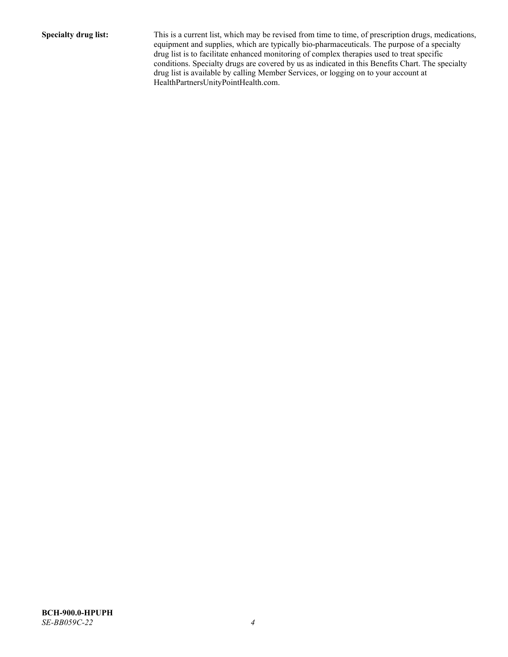**Specialty drug list:** This is a current list, which may be revised from time to time, of prescription drugs, medications, equipment and supplies, which are typically bio-pharmaceuticals. The purpose of a specialty drug list is to facilitate enhanced monitoring of complex therapies used to treat specific conditions. Specialty drugs are covered by us as indicated in this Benefits Chart. The specialty drug list is available by calling Member Services, or logging on to your account at [HealthPartnersUnityPointHealth.com.](https://www.healthpartnersunitypointhealth.com/)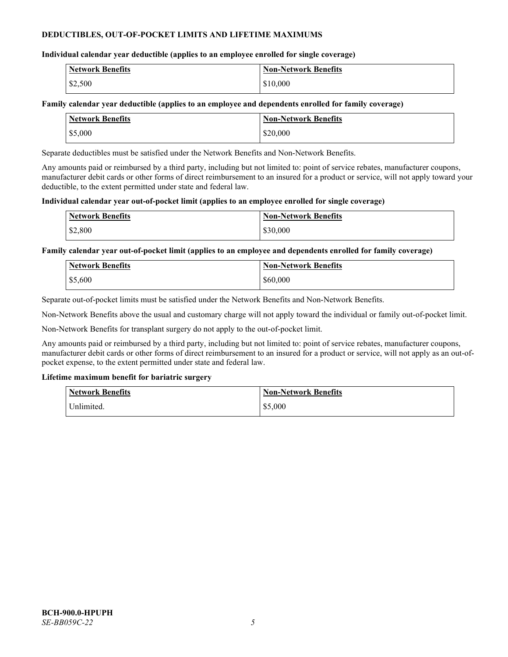# **DEDUCTIBLES, OUT-OF-POCKET LIMITS AND LIFETIME MAXIMUMS**

# **Individual calendar year deductible (applies to an employee enrolled for single coverage)**

| <b>Network Benefits</b> | <b>Non-Network Benefits</b> |
|-------------------------|-----------------------------|
| \$2,500                 | \$10,000                    |

# **Family calendar year deductible (applies to an employee and dependents enrolled for family coverage)**

| <b>Network Benefits</b> | <b>Non-Network Benefits</b> |
|-------------------------|-----------------------------|
| \$5,000                 | \$20,000                    |

Separate deductibles must be satisfied under the Network Benefits and Non-Network Benefits.

Any amounts paid or reimbursed by a third party, including but not limited to: point of service rebates, manufacturer coupons, manufacturer debit cards or other forms of direct reimbursement to an insured for a product or service, will not apply toward your deductible, to the extent permitted under state and federal law.

# **Individual calendar year out-of-pocket limit (applies to an employee enrolled for single coverage)**

| <b>Network Benefits</b> | <b>Non-Network Benefits</b> |
|-------------------------|-----------------------------|
| \$2,800                 | \$30,000                    |

**Family calendar year out-of-pocket limit (applies to an employee and dependents enrolled for family coverage)**

| <b>Network Benefits</b> | <b>Non-Network Benefits</b> |
|-------------------------|-----------------------------|
| \$5,600                 | \$60,000                    |

Separate out-of-pocket limits must be satisfied under the Network Benefits and Non-Network Benefits.

Non-Network Benefits above the usual and customary charge will not apply toward the individual or family out-of-pocket limit.

Non-Network Benefits for transplant surgery do not apply to the out-of-pocket limit.

Any amounts paid or reimbursed by a third party, including but not limited to: point of service rebates, manufacturer coupons, manufacturer debit cards or other forms of direct reimbursement to an insured for a product or service, will not apply as an out-ofpocket expense, to the extent permitted under state and federal law.

# **Lifetime maximum benefit for bariatric surgery**

| <b>Network Benefits</b> | <b>Non-Network Benefits</b> |
|-------------------------|-----------------------------|
| Unlimited.              | \$5,000                     |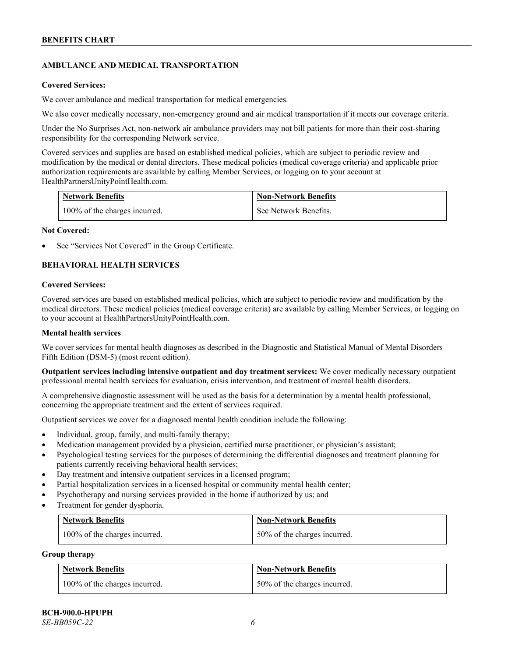# **AMBULANCE AND MEDICAL TRANSPORTATION**

#### **Covered Services:**

We cover ambulance and medical transportation for medical emergencies.

We also cover medically necessary, non-emergency ground and air medical transportation if it meets our coverage criteria.

Under the No Surprises Act, non-network air ambulance providers may not bill patients for more than their cost-sharing responsibility for the corresponding Network service.

Covered services and supplies are based on established medical policies, which are subject to periodic review and modification by the medical or dental directors. These medical policies (medical coverage criteria) and applicable prior authorization requirements are available by calling Member Services, or logging on to your account at [HealthPartnersUnityPointHealth.com.](https://www.healthpartnersunitypointhealth.com/)

| <b>Network Benefits</b>       | <b>Non-Network Benefits</b> |
|-------------------------------|-----------------------------|
| 100% of the charges incurred. | See Network Benefits.       |

### **Not Covered:**

See "Services Not Covered" in the Group Certificate.

# **BEHAVIORAL HEALTH SERVICES**

### **Covered Services:**

Covered services are based on established medical policies, which are subject to periodic review and modification by the medical directors. These medical policies (medical coverage criteria) are available by calling Member Services, or logging on to your account at [HealthPartnersUnityPointHealth.com.](https://www.healthpartnersunitypointhealth.com/)

# **Mental health services**

We cover services for mental health diagnoses as described in the Diagnostic and Statistical Manual of Mental Disorders – Fifth Edition (DSM-5) (most recent edition).

**Outpatient services including intensive outpatient and day treatment services:** We cover medically necessary outpatient professional mental health services for evaluation, crisis intervention, and treatment of mental health disorders.

A comprehensive diagnostic assessment will be used as the basis for a determination by a mental health professional, concerning the appropriate treatment and the extent of services required.

Outpatient services we cover for a diagnosed mental health condition include the following:

- Individual, group, family, and multi-family therapy;
- Medication management provided by a physician, certified nurse practitioner, or physician's assistant;
- Psychological testing services for the purposes of determining the differential diagnoses and treatment planning for patients currently receiving behavioral health services;
- Day treatment and intensive outpatient services in a licensed program;
- Partial hospitalization services in a licensed hospital or community mental health center;
- Psychotherapy and nursing services provided in the home if authorized by us; and
- Treatment for gender dysphoria.

| Network Benefits              | <b>Non-Network Benefits</b>  |
|-------------------------------|------------------------------|
| 100% of the charges incurred. | 50% of the charges incurred. |

#### **Group therapy**

| <b>Network Benefits</b>       | <b>Non-Network Benefits</b>  |
|-------------------------------|------------------------------|
| 100% of the charges incurred. | 50% of the charges incurred. |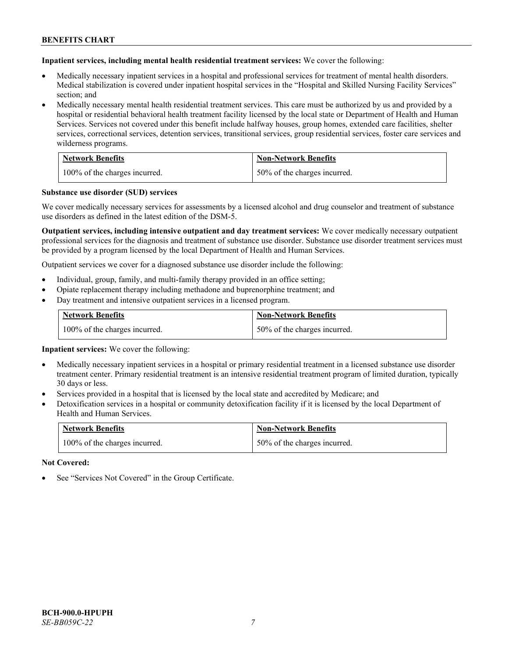**Inpatient services, including mental health residential treatment services:** We cover the following:

- Medically necessary inpatient services in a hospital and professional services for treatment of mental health disorders. Medical stabilization is covered under inpatient hospital services in the "Hospital and Skilled Nursing Facility Services" section; and
- Medically necessary mental health residential treatment services. This care must be authorized by us and provided by a hospital or residential behavioral health treatment facility licensed by the local state or Department of Health and Human Services. Services not covered under this benefit include halfway houses, group homes, extended care facilities, shelter services, correctional services, detention services, transitional services, group residential services, foster care services and wilderness programs.

| <b>Network Benefits</b>       | <b>Non-Network Benefits</b>  |
|-------------------------------|------------------------------|
| 100% of the charges incurred. | 50% of the charges incurred. |

### **Substance use disorder (SUD) services**

We cover medically necessary services for assessments by a licensed alcohol and drug counselor and treatment of substance use disorders as defined in the latest edition of the DSM-5.

**Outpatient services, including intensive outpatient and day treatment services:** We cover medically necessary outpatient professional services for the diagnosis and treatment of substance use disorder. Substance use disorder treatment services must be provided by a program licensed by the local Department of Health and Human Services.

Outpatient services we cover for a diagnosed substance use disorder include the following:

- Individual, group, family, and multi-family therapy provided in an office setting;
- Opiate replacement therapy including methadone and buprenorphine treatment; and
- Day treatment and intensive outpatient services in a licensed program.

| <b>Network Benefits</b>       | <b>Non-Network Benefits</b>  |
|-------------------------------|------------------------------|
| 100% of the charges incurred. | 50% of the charges incurred. |

**Inpatient services:** We cover the following:

- Medically necessary inpatient services in a hospital or primary residential treatment in a licensed substance use disorder treatment center. Primary residential treatment is an intensive residential treatment program of limited duration, typically 30 days or less.
- Services provided in a hospital that is licensed by the local state and accredited by Medicare; and
- Detoxification services in a hospital or community detoxification facility if it is licensed by the local Department of Health and Human Services.

| <b>Network Benefits</b>       | <b>Non-Network Benefits</b>  |
|-------------------------------|------------------------------|
| 100% of the charges incurred. | 50% of the charges incurred. |

**Not Covered:**

See "Services Not Covered" in the Group Certificate.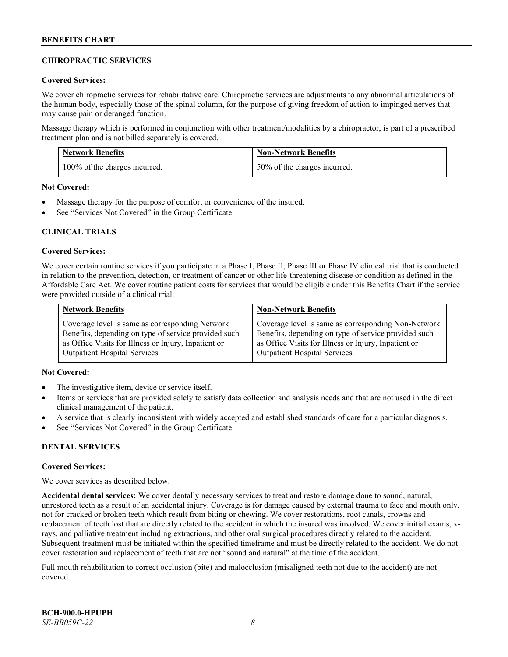# **CHIROPRACTIC SERVICES**

# **Covered Services:**

We cover chiropractic services for rehabilitative care. Chiropractic services are adjustments to any abnormal articulations of the human body, especially those of the spinal column, for the purpose of giving freedom of action to impinged nerves that may cause pain or deranged function.

Massage therapy which is performed in conjunction with other treatment/modalities by a chiropractor, is part of a prescribed treatment plan and is not billed separately is covered.

| <b>Network Benefits</b>       | <b>Non-Network Benefits</b>  |
|-------------------------------|------------------------------|
| 100% of the charges incurred. | 50% of the charges incurred. |

**Not Covered:**

- Massage therapy for the purpose of comfort or convenience of the insured.
- See "Services Not Covered" in the Group Certificate.

# **CLINICAL TRIALS**

### **Covered Services:**

We cover certain routine services if you participate in a Phase I, Phase II, Phase III or Phase IV clinical trial that is conducted in relation to the prevention, detection, or treatment of cancer or other life-threatening disease or condition as defined in the Affordable Care Act. We cover routine patient costs for services that would be eligible under this Benefits Chart if the service were provided outside of a clinical trial.

| <b>Network Benefits</b>                              | <b>Non-Network Benefits</b>                          |
|------------------------------------------------------|------------------------------------------------------|
| Coverage level is same as corresponding Network      | Coverage level is same as corresponding Non-Network  |
| Benefits, depending on type of service provided such | Benefits, depending on type of service provided such |
| as Office Visits for Illness or Injury, Inpatient or | as Office Visits for Illness or Injury, Inpatient or |
| <b>Outpatient Hospital Services.</b>                 | <b>Outpatient Hospital Services.</b>                 |

# **Not Covered:**

- The investigative item, device or service itself.
- Items or services that are provided solely to satisfy data collection and analysis needs and that are not used in the direct clinical management of the patient.
- A service that is clearly inconsistent with widely accepted and established standards of care for a particular diagnosis.
- See "Services Not Covered" in the Group Certificate.

# **DENTAL SERVICES**

#### **Covered Services:**

We cover services as described below.

**Accidental dental services:** We cover dentally necessary services to treat and restore damage done to sound, natural, unrestored teeth as a result of an accidental injury. Coverage is for damage caused by external trauma to face and mouth only, not for cracked or broken teeth which result from biting or chewing. We cover restorations, root canals, crowns and replacement of teeth lost that are directly related to the accident in which the insured was involved. We cover initial exams, xrays, and palliative treatment including extractions, and other oral surgical procedures directly related to the accident. Subsequent treatment must be initiated within the specified timeframe and must be directly related to the accident. We do not cover restoration and replacement of teeth that are not "sound and natural" at the time of the accident.

Full mouth rehabilitation to correct occlusion (bite) and malocclusion (misaligned teeth not due to the accident) are not covered.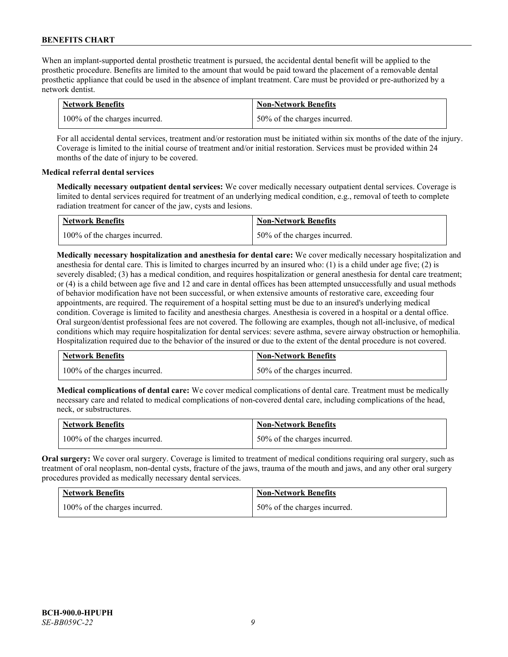When an implant-supported dental prosthetic treatment is pursued, the accidental dental benefit will be applied to the prosthetic procedure. Benefits are limited to the amount that would be paid toward the placement of a removable dental prosthetic appliance that could be used in the absence of implant treatment. Care must be provided or pre-authorized by a network dentist.

| <b>Network Benefits</b>       | <b>Non-Network Benefits</b>  |
|-------------------------------|------------------------------|
| 100% of the charges incurred. | 50% of the charges incurred. |

For all accidental dental services, treatment and/or restoration must be initiated within six months of the date of the injury. Coverage is limited to the initial course of treatment and/or initial restoration. Services must be provided within 24 months of the date of injury to be covered.

# **Medical referral dental services**

**Medically necessary outpatient dental services:** We cover medically necessary outpatient dental services. Coverage is limited to dental services required for treatment of an underlying medical condition, e.g., removal of teeth to complete radiation treatment for cancer of the jaw, cysts and lesions.

| <b>Network Benefits</b>       | <b>Non-Network Benefits</b>  |
|-------------------------------|------------------------------|
| 100% of the charges incurred. | 50% of the charges incurred. |

**Medically necessary hospitalization and anesthesia for dental care:** We cover medically necessary hospitalization and anesthesia for dental care. This is limited to charges incurred by an insured who: (1) is a child under age five; (2) is severely disabled; (3) has a medical condition, and requires hospitalization or general anesthesia for dental care treatment; or (4) is a child between age five and 12 and care in dental offices has been attempted unsuccessfully and usual methods of behavior modification have not been successful, or when extensive amounts of restorative care, exceeding four appointments, are required. The requirement of a hospital setting must be due to an insured's underlying medical condition. Coverage is limited to facility and anesthesia charges. Anesthesia is covered in a hospital or a dental office. Oral surgeon/dentist professional fees are not covered. The following are examples, though not all-inclusive, of medical conditions which may require hospitalization for dental services: severe asthma, severe airway obstruction or hemophilia. Hospitalization required due to the behavior of the insured or due to the extent of the dental procedure is not covered.

| <b>Network Benefits</b>       | <b>Non-Network Benefits</b>  |
|-------------------------------|------------------------------|
| 100% of the charges incurred. | 50% of the charges incurred. |

**Medical complications of dental care:** We cover medical complications of dental care. Treatment must be medically necessary care and related to medical complications of non-covered dental care, including complications of the head, neck, or substructures.

| <b>Network Benefits</b>       | <b>Non-Network Benefits</b>  |
|-------------------------------|------------------------------|
| 100% of the charges incurred. | 50% of the charges incurred. |

**Oral surgery:** We cover oral surgery. Coverage is limited to treatment of medical conditions requiring oral surgery, such as treatment of oral neoplasm, non-dental cysts, fracture of the jaws, trauma of the mouth and jaws, and any other oral surgery procedures provided as medically necessary dental services.

| <b>Network Benefits</b>       | <b>Non-Network Benefits</b>  |
|-------------------------------|------------------------------|
| 100% of the charges incurred. | 50% of the charges incurred. |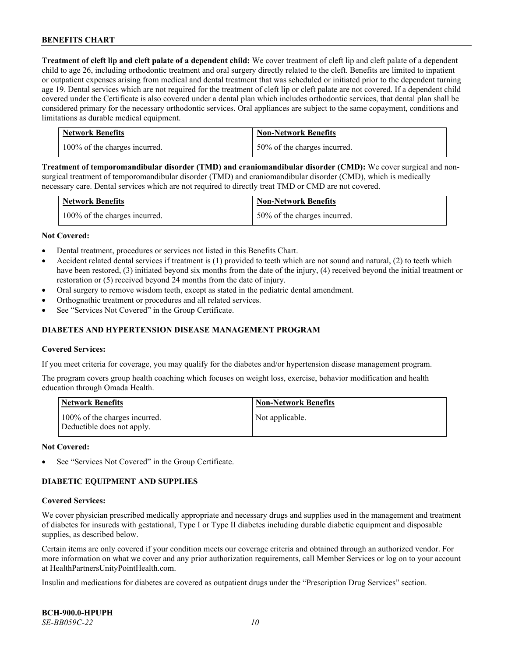**Treatment of cleft lip and cleft palate of a dependent child:** We cover treatment of cleft lip and cleft palate of a dependent child to age 26, including orthodontic treatment and oral surgery directly related to the cleft. Benefits are limited to inpatient or outpatient expenses arising from medical and dental treatment that was scheduled or initiated prior to the dependent turning age 19. Dental services which are not required for the treatment of cleft lip or cleft palate are not covered. If a dependent child covered under the Certificate is also covered under a dental plan which includes orthodontic services, that dental plan shall be considered primary for the necessary orthodontic services. Oral appliances are subject to the same copayment, conditions and limitations as durable medical equipment.

| <b>Network Benefits</b>       | <b>Non-Network Benefits</b>  |
|-------------------------------|------------------------------|
| 100% of the charges incurred. | 50% of the charges incurred. |

**Treatment of temporomandibular disorder (TMD) and craniomandibular disorder (CMD):** We cover surgical and nonsurgical treatment of temporomandibular disorder (TMD) and craniomandibular disorder (CMD), which is medically necessary care. Dental services which are not required to directly treat TMD or CMD are not covered.

| <b>Network Benefits</b>       | <b>Non-Network Benefits</b>  |
|-------------------------------|------------------------------|
| 100% of the charges incurred. | 50% of the charges incurred. |

### **Not Covered:**

- Dental treatment, procedures or services not listed in this Benefits Chart.
- Accident related dental services if treatment is (1) provided to teeth which are not sound and natural, (2) to teeth which have been restored, (3) initiated beyond six months from the date of the injury, (4) received beyond the initial treatment or restoration or (5) received beyond 24 months from the date of injury.
- Oral surgery to remove wisdom teeth, except as stated in the pediatric dental amendment.
- Orthognathic treatment or procedures and all related services.
- See "Services Not Covered" in the Group Certificate.

# **DIABETES AND HYPERTENSION DISEASE MANAGEMENT PROGRAM**

#### **Covered Services:**

If you meet criteria for coverage, you may qualify for the diabetes and/or hypertension disease management program.

The program covers group health coaching which focuses on weight loss, exercise, behavior modification and health education through Omada Health.

| <b>Network Benefits</b>                                     | <b>Non-Network Benefits</b> |
|-------------------------------------------------------------|-----------------------------|
| 100% of the charges incurred.<br>Deductible does not apply. | Not applicable.             |

#### **Not Covered:**

See "Services Not Covered" in the Group Certificate.

# **DIABETIC EQUIPMENT AND SUPPLIES**

#### **Covered Services:**

We cover physician prescribed medically appropriate and necessary drugs and supplies used in the management and treatment of diabetes for insureds with gestational, Type I or Type II diabetes including durable diabetic equipment and disposable supplies, as described below.

Certain items are only covered if your condition meets our coverage criteria and obtained through an authorized vendor. For more information on what we cover and any prior authorization requirements, call Member Services or log on to your account at [HealthPartnersUnityPointHealth.com.](https://www.healthpartnersunitypointhealth.com/)

Insulin and medications for diabetes are covered as outpatient drugs under the "Prescription Drug Services" section.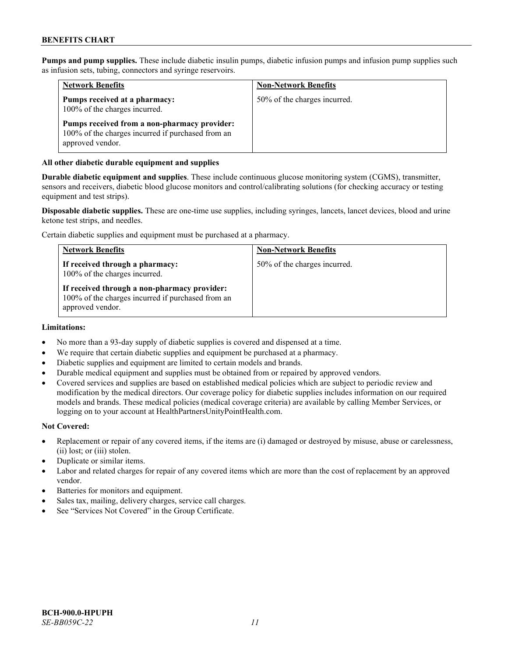**Pumps and pump supplies.** These include diabetic insulin pumps, diabetic infusion pumps and infusion pump supplies such as infusion sets, tubing, connectors and syringe reservoirs.

| <b>Network Benefits</b>                                                                                               | <b>Non-Network Benefits</b>  |
|-----------------------------------------------------------------------------------------------------------------------|------------------------------|
| Pumps received at a pharmacy:<br>100% of the charges incurred.                                                        | 50% of the charges incurred. |
| Pumps received from a non-pharmacy provider:<br>100% of the charges incurred if purchased from an<br>approved vendor. |                              |

# **All other diabetic durable equipment and supplies**

**Durable diabetic equipment and supplies**. These include continuous glucose monitoring system (CGMS), transmitter, sensors and receivers, diabetic blood glucose monitors and control/calibrating solutions (for checking accuracy or testing equipment and test strips).

**Disposable diabetic supplies.** These are one-time use supplies, including syringes, lancets, lancet devices, blood and urine ketone test strips, and needles.

Certain diabetic supplies and equipment must be purchased at a pharmacy.

| <b>Network Benefits</b>                                                                                               | <b>Non-Network Benefits</b>  |
|-----------------------------------------------------------------------------------------------------------------------|------------------------------|
| If received through a pharmacy:<br>100% of the charges incurred.                                                      | 50% of the charges incurred. |
| If received through a non-pharmacy provider:<br>100% of the charges incurred if purchased from an<br>approved vendor. |                              |

#### **Limitations:**

- No more than a 93-day supply of diabetic supplies is covered and dispensed at a time.
- We require that certain diabetic supplies and equipment be purchased at a pharmacy.
- Diabetic supplies and equipment are limited to certain models and brands.
- Durable medical equipment and supplies must be obtained from or repaired by approved vendors.
- Covered services and supplies are based on established medical policies which are subject to periodic review and modification by the medical directors. Our coverage policy for diabetic supplies includes information on our required models and brands. These medical policies (medical coverage criteria) are available by calling Member Services, or logging on to your account a[t HealthPartnersUnityPointHealth.com.](https://www.healthpartnersunitypointhealth.com/)

#### **Not Covered:**

- Replacement or repair of any covered items, if the items are (i) damaged or destroyed by misuse, abuse or carelessness, (ii) lost; or (iii) stolen.
- Duplicate or similar items.
- Labor and related charges for repair of any covered items which are more than the cost of replacement by an approved vendor.
- Batteries for monitors and equipment.
- Sales tax, mailing, delivery charges, service call charges.
- See "Services Not Covered" in the Group Certificate.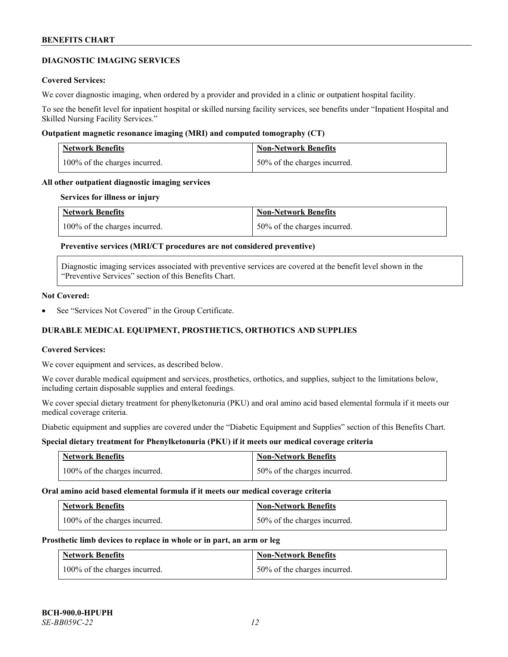# **DIAGNOSTIC IMAGING SERVICES**

### **Covered Services:**

We cover diagnostic imaging, when ordered by a provider and provided in a clinic or outpatient hospital facility.

To see the benefit level for inpatient hospital or skilled nursing facility services, see benefits under "Inpatient Hospital and Skilled Nursing Facility Services."

### **Outpatient magnetic resonance imaging (MRI) and computed tomography (CT)**

| <b>Network Benefits</b>       | <b>Non-Network Benefits</b>  |
|-------------------------------|------------------------------|
| 100% of the charges incurred. | 50% of the charges incurred. |

# **All other outpatient diagnostic imaging services**

#### **Services for illness or injury**

| <b>Network Benefits</b>       | <b>Non-Network Benefits</b>  |
|-------------------------------|------------------------------|
| 100% of the charges incurred. | 50% of the charges incurred. |

# **Preventive services (MRI/CT procedures are not considered preventive)**

Diagnostic imaging services associated with preventive services are covered at the benefit level shown in the "Preventive Services" section of this Benefits Chart.

### **Not Covered:**

See "Services Not Covered" in the Group Certificate.

# **DURABLE MEDICAL EQUIPMENT, PROSTHETICS, ORTHOTICS AND SUPPLIES**

#### **Covered Services:**

We cover equipment and services, as described below.

We cover durable medical equipment and services, prosthetics, orthotics, and supplies, subject to the limitations below, including certain disposable supplies and enteral feedings.

We cover special dietary treatment for phenylketonuria (PKU) and oral amino acid based elemental formula if it meets our medical coverage criteria.

Diabetic equipment and supplies are covered under the "Diabetic Equipment and Supplies" section of this Benefits Chart.

# **Special dietary treatment for Phenylketonuria (PKU) if it meets our medical coverage criteria**

| <b>Network Benefits</b>       | <b>Non-Network Benefits</b>  |
|-------------------------------|------------------------------|
| 100% of the charges incurred. | 50% of the charges incurred. |

#### **Oral amino acid based elemental formula if it meets our medical coverage criteria**

| <b>Network Benefits</b>       | <b>Non-Network Benefits</b>  |
|-------------------------------|------------------------------|
| 100% of the charges incurred. | 50% of the charges incurred. |

#### **Prosthetic limb devices to replace in whole or in part, an arm or leg**

| <b>Network Benefits</b>       | <b>Non-Network Benefits</b>  |
|-------------------------------|------------------------------|
| 100% of the charges incurred. | 50% of the charges incurred. |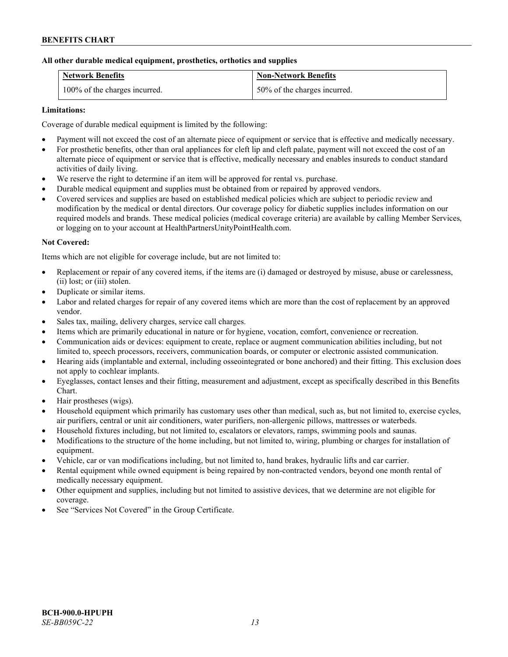# **All other durable medical equipment, prosthetics, orthotics and supplies**

| <b>Network Benefits</b>       | <b>Non-Network Benefits</b>  |
|-------------------------------|------------------------------|
| 100% of the charges incurred. | 50% of the charges incurred. |

# **Limitations:**

Coverage of durable medical equipment is limited by the following:

- Payment will not exceed the cost of an alternate piece of equipment or service that is effective and medically necessary.
- For prosthetic benefits, other than oral appliances for cleft lip and cleft palate, payment will not exceed the cost of an alternate piece of equipment or service that is effective, medically necessary and enables insureds to conduct standard activities of daily living.
- We reserve the right to determine if an item will be approved for rental vs. purchase.
- Durable medical equipment and supplies must be obtained from or repaired by approved vendors.
- Covered services and supplies are based on established medical policies which are subject to periodic review and modification by the medical or dental directors. Our coverage policy for diabetic supplies includes information on our required models and brands. These medical policies (medical coverage criteria) are available by calling Member Services, or logging on to your account at [HealthPartnersUnityPointHealth.com.](https://www.healthpartnersunitypointhealth.com/)

# **Not Covered:**

Items which are not eligible for coverage include, but are not limited to:

- Replacement or repair of any covered items, if the items are (i) damaged or destroyed by misuse, abuse or carelessness, (ii) lost; or (iii) stolen.
- Duplicate or similar items.
- Labor and related charges for repair of any covered items which are more than the cost of replacement by an approved vendor.
- Sales tax, mailing, delivery charges, service call charges.
- Items which are primarily educational in nature or for hygiene, vocation, comfort, convenience or recreation.
- Communication aids or devices: equipment to create, replace or augment communication abilities including, but not limited to, speech processors, receivers, communication boards, or computer or electronic assisted communication.
- Hearing aids (implantable and external, including osseointegrated or bone anchored) and their fitting. This exclusion does not apply to cochlear implants.
- Eyeglasses, contact lenses and their fitting, measurement and adjustment, except as specifically described in this Benefits Chart.
- Hair prostheses (wigs).
- Household equipment which primarily has customary uses other than medical, such as, but not limited to, exercise cycles, air purifiers, central or unit air conditioners, water purifiers, non-allergenic pillows, mattresses or waterbeds.
- Household fixtures including, but not limited to, escalators or elevators, ramps, swimming pools and saunas.
- Modifications to the structure of the home including, but not limited to, wiring, plumbing or charges for installation of equipment.
- Vehicle, car or van modifications including, but not limited to, hand brakes, hydraulic lifts and car carrier.
- Rental equipment while owned equipment is being repaired by non-contracted vendors, beyond one month rental of medically necessary equipment.
- Other equipment and supplies, including but not limited to assistive devices, that we determine are not eligible for coverage.
- See "Services Not Covered" in the Group Certificate.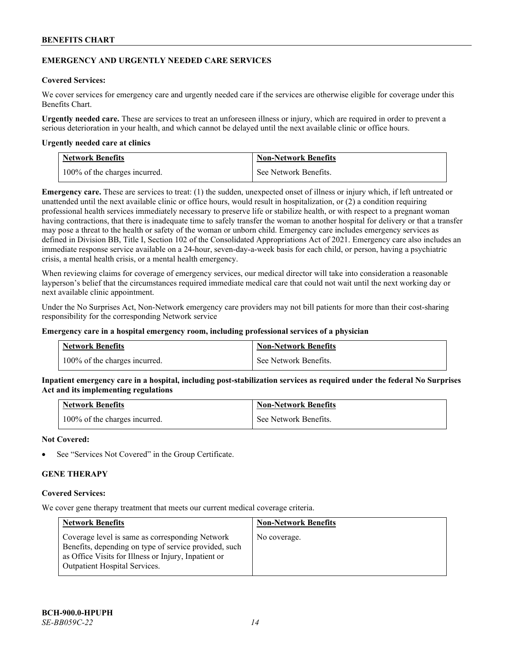# **EMERGENCY AND URGENTLY NEEDED CARE SERVICES**

# **Covered Services:**

We cover services for emergency care and urgently needed care if the services are otherwise eligible for coverage under this Benefits Chart.

**Urgently needed care.** These are services to treat an unforeseen illness or injury, which are required in order to prevent a serious deterioration in your health, and which cannot be delayed until the next available clinic or office hours.

### **Urgently needed care at clinics**

| <b>Network Benefits</b>       | <b>Non-Network Benefits</b> |
|-------------------------------|-----------------------------|
| 100% of the charges incurred. | See Network Benefits.       |

**Emergency care.** These are services to treat: (1) the sudden, unexpected onset of illness or injury which, if left untreated or unattended until the next available clinic or office hours, would result in hospitalization, or (2) a condition requiring professional health services immediately necessary to preserve life or stabilize health, or with respect to a pregnant woman having contractions, that there is inadequate time to safely transfer the woman to another hospital for delivery or that a transfer may pose a threat to the health or safety of the woman or unborn child. Emergency care includes emergency services as defined in Division BB, Title I, Section 102 of the Consolidated Appropriations Act of 2021. Emergency care also includes an immediate response service available on a 24-hour, seven-day-a-week basis for each child, or person, having a psychiatric crisis, a mental health crisis, or a mental health emergency.

When reviewing claims for coverage of emergency services, our medical director will take into consideration a reasonable layperson's belief that the circumstances required immediate medical care that could not wait until the next working day or next available clinic appointment.

Under the No Surprises Act, Non-Network emergency care providers may not bill patients for more than their cost-sharing responsibility for the corresponding Network service

#### **Emergency care in a hospital emergency room, including professional services of a physician**

| <b>Network Benefits</b>       | <b>Non-Network Benefits</b> |
|-------------------------------|-----------------------------|
| 100% of the charges incurred. | See Network Benefits.       |

**Inpatient emergency care in a hospital, including post-stabilization services as required under the federal No Surprises Act and its implementing regulations**

| <b>Network Benefits</b>       | <b>Non-Network Benefits</b> |
|-------------------------------|-----------------------------|
| 100% of the charges incurred. | See Network Benefits.       |

## **Not Covered:**

See "Services Not Covered" in the Group Certificate.

# **GENE THERAPY**

#### **Covered Services:**

We cover gene therapy treatment that meets our current medical coverage criteria.

| <b>Network Benefits</b>                                                                                                                                                                                  | <b>Non-Network Benefits</b> |
|----------------------------------------------------------------------------------------------------------------------------------------------------------------------------------------------------------|-----------------------------|
| Coverage level is same as corresponding Network<br>Benefits, depending on type of service provided, such<br>as Office Visits for Illness or Injury, Inpatient or<br><b>Outpatient Hospital Services.</b> | No coverage.                |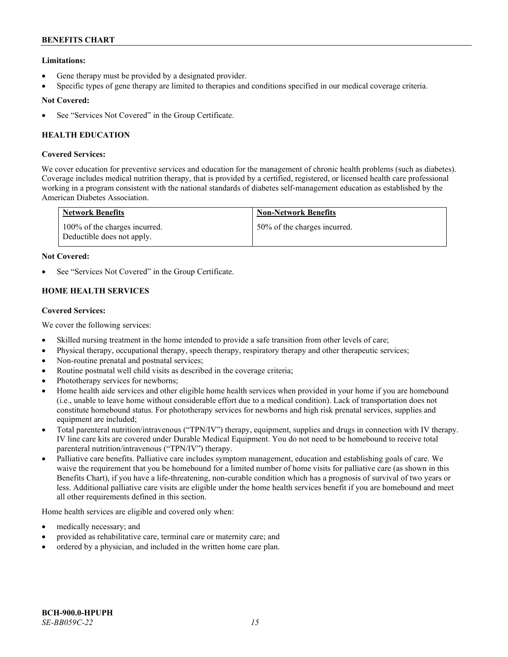# **Limitations:**

- Gene therapy must be provided by a designated provider.
- Specific types of gene therapy are limited to therapies and conditions specified in our medical coverage criteria.

# **Not Covered:**

See "Services Not Covered" in the Group Certificate.

# **HEALTH EDUCATION**

# **Covered Services:**

We cover education for preventive services and education for the management of chronic health problems (such as diabetes). Coverage includes medical nutrition therapy, that is provided by a certified, registered, or licensed health care professional working in a program consistent with the national standards of diabetes self-management education as established by the American Diabetes Association.

| <b>Network Benefits</b>                                     | <b>Non-Network Benefits</b>  |
|-------------------------------------------------------------|------------------------------|
| 100% of the charges incurred.<br>Deductible does not apply. | 50% of the charges incurred. |

# **Not Covered:**

See "Services Not Covered" in the Group Certificate.

# **HOME HEALTH SERVICES**

# **Covered Services:**

We cover the following services:

- Skilled nursing treatment in the home intended to provide a safe transition from other levels of care;
- Physical therapy, occupational therapy, speech therapy, respiratory therapy and other therapeutic services;
- Non-routine prenatal and postnatal services;
- Routine postnatal well child visits as described in the coverage criteria;
- Phototherapy services for newborns;
- Home health aide services and other eligible home health services when provided in your home if you are homebound (i.e., unable to leave home without considerable effort due to a medical condition). Lack of transportation does not constitute homebound status. For phototherapy services for newborns and high risk prenatal services, supplies and equipment are included;
- Total parenteral nutrition/intravenous ("TPN/IV") therapy, equipment, supplies and drugs in connection with IV therapy. IV line care kits are covered under Durable Medical Equipment. You do not need to be homebound to receive total parenteral nutrition/intravenous ("TPN/IV") therapy.
- Palliative care benefits. Palliative care includes symptom management, education and establishing goals of care. We waive the requirement that you be homebound for a limited number of home visits for palliative care (as shown in this Benefits Chart), if you have a life-threatening, non-curable condition which has a prognosis of survival of two years or less. Additional palliative care visits are eligible under the home health services benefit if you are homebound and meet all other requirements defined in this section.

Home health services are eligible and covered only when:

- medically necessary; and
- provided as rehabilitative care, terminal care or maternity care; and
- ordered by a physician, and included in the written home care plan.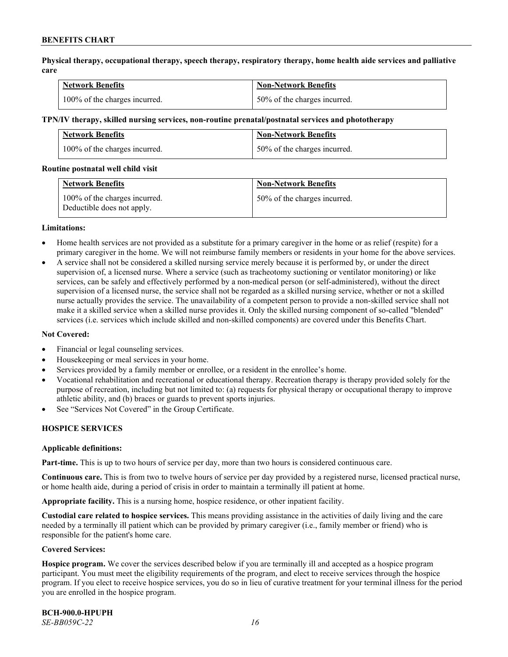**Physical therapy, occupational therapy, speech therapy, respiratory therapy, home health aide services and palliative care**

| <b>Network Benefits</b>       | <b>Non-Network Benefits</b>      |
|-------------------------------|----------------------------------|
| 100% of the charges incurred. | $150\%$ of the charges incurred. |

#### **TPN/IV therapy, skilled nursing services, non-routine prenatal/postnatal services and phototherapy**

| Network Benefits              | <b>Non-Network Benefits</b>  |
|-------------------------------|------------------------------|
| 100% of the charges incurred. | 50% of the charges incurred. |

#### **Routine postnatal well child visit**

| <b>Network Benefits</b>                                     | <b>Non-Network Benefits</b>  |
|-------------------------------------------------------------|------------------------------|
| 100% of the charges incurred.<br>Deductible does not apply. | 50% of the charges incurred. |

### **Limitations:**

- Home health services are not provided as a substitute for a primary caregiver in the home or as relief (respite) for a primary caregiver in the home. We will not reimburse family members or residents in your home for the above services.
- A service shall not be considered a skilled nursing service merely because it is performed by, or under the direct supervision of, a licensed nurse. Where a service (such as tracheotomy suctioning or ventilator monitoring) or like services, can be safely and effectively performed by a non-medical person (or self-administered), without the direct supervision of a licensed nurse, the service shall not be regarded as a skilled nursing service, whether or not a skilled nurse actually provides the service. The unavailability of a competent person to provide a non-skilled service shall not make it a skilled service when a skilled nurse provides it. Only the skilled nursing component of so-called "blended" services (i.e. services which include skilled and non-skilled components) are covered under this Benefits Chart.

#### **Not Covered:**

- Financial or legal counseling services.
- Housekeeping or meal services in your home.
- Services provided by a family member or enrollee, or a resident in the enrollee's home.
- Vocational rehabilitation and recreational or educational therapy. Recreation therapy is therapy provided solely for the purpose of recreation, including but not limited to: (a) requests for physical therapy or occupational therapy to improve athletic ability, and (b) braces or guards to prevent sports injuries.
- See "Services Not Covered" in the Group Certificate.

# **HOSPICE SERVICES**

#### **Applicable definitions:**

**Part-time.** This is up to two hours of service per day, more than two hours is considered continuous care.

**Continuous care.** This is from two to twelve hours of service per day provided by a registered nurse, licensed practical nurse, or home health aide, during a period of crisis in order to maintain a terminally ill patient at home.

**Appropriate facility.** This is a nursing home, hospice residence, or other inpatient facility.

**Custodial care related to hospice services.** This means providing assistance in the activities of daily living and the care needed by a terminally ill patient which can be provided by primary caregiver (i.e., family member or friend) who is responsible for the patient's home care.

#### **Covered Services:**

**Hospice program.** We cover the services described below if you are terminally ill and accepted as a hospice program participant. You must meet the eligibility requirements of the program, and elect to receive services through the hospice program. If you elect to receive hospice services, you do so in lieu of curative treatment for your terminal illness for the period you are enrolled in the hospice program.

**BCH-900.0-HPUPH** *SE-BB059C-22 16*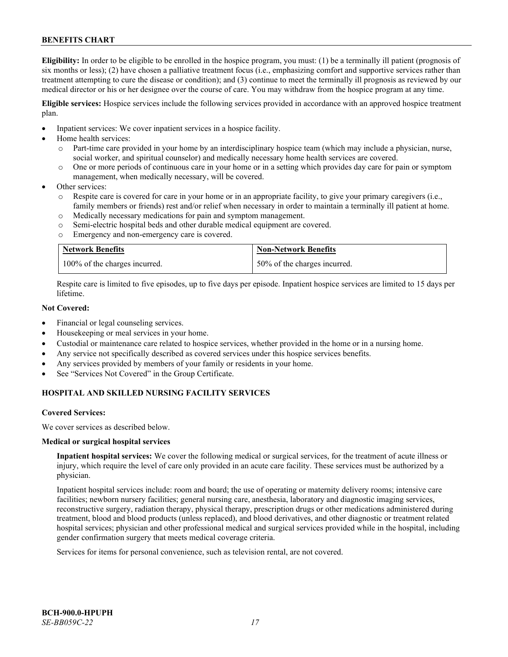**Eligibility:** In order to be eligible to be enrolled in the hospice program, you must: (1) be a terminally ill patient (prognosis of six months or less); (2) have chosen a palliative treatment focus (i.e., emphasizing comfort and supportive services rather than treatment attempting to cure the disease or condition); and (3) continue to meet the terminally ill prognosis as reviewed by our medical director or his or her designee over the course of care. You may withdraw from the hospice program at any time.

**Eligible services:** Hospice services include the following services provided in accordance with an approved hospice treatment plan.

- Inpatient services: We cover inpatient services in a hospice facility.
- Home health services:
	- o Part-time care provided in your home by an interdisciplinary hospice team (which may include a physician, nurse, social worker, and spiritual counselor) and medically necessary home health services are covered.
	- o One or more periods of continuous care in your home or in a setting which provides day care for pain or symptom management, when medically necessary, will be covered.
- Other services:
	- Respite care is covered for care in your home or in an appropriate facility, to give your primary caregivers (i.e., family members or friends) rest and/or relief when necessary in order to maintain a terminally ill patient at home.
	- o Medically necessary medications for pain and symptom management.
	- o Semi-electric hospital beds and other durable medical equipment are covered.
	- o Emergency and non-emergency care is covered.

| <b>Network Benefits</b>       | <b>Non-Network Benefits</b>  |
|-------------------------------|------------------------------|
| 100% of the charges incurred. | 50% of the charges incurred. |

Respite care is limited to five episodes, up to five days per episode. Inpatient hospice services are limited to 15 days per lifetime.

# **Not Covered:**

- Financial or legal counseling services.
- Housekeeping or meal services in your home.
- Custodial or maintenance care related to hospice services, whether provided in the home or in a nursing home.
- Any service not specifically described as covered services under this hospice services benefits.
- Any services provided by members of your family or residents in your home.
- See "Services Not Covered" in the Group Certificate.

# **HOSPITAL AND SKILLED NURSING FACILITY SERVICES**

#### **Covered Services:**

We cover services as described below.

#### **Medical or surgical hospital services**

**Inpatient hospital services:** We cover the following medical or surgical services, for the treatment of acute illness or injury, which require the level of care only provided in an acute care facility. These services must be authorized by a physician.

Inpatient hospital services include: room and board; the use of operating or maternity delivery rooms; intensive care facilities; newborn nursery facilities; general nursing care, anesthesia, laboratory and diagnostic imaging services, reconstructive surgery, radiation therapy, physical therapy, prescription drugs or other medications administered during treatment, blood and blood products (unless replaced), and blood derivatives, and other diagnostic or treatment related hospital services; physician and other professional medical and surgical services provided while in the hospital, including gender confirmation surgery that meets medical coverage criteria.

Services for items for personal convenience, such as television rental, are not covered.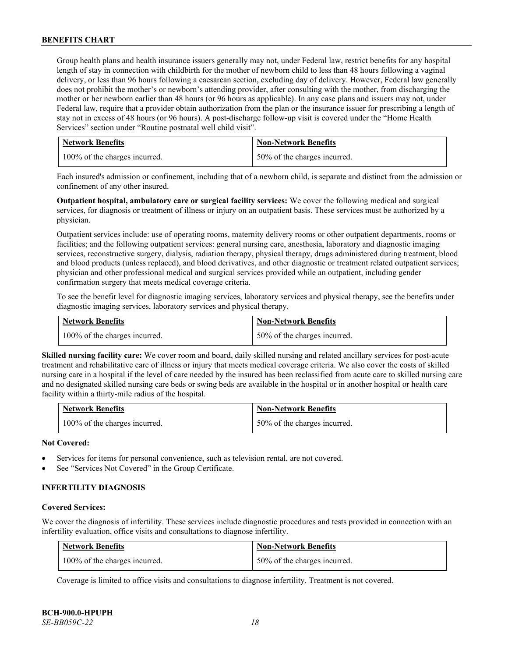Group health plans and health insurance issuers generally may not, under Federal law, restrict benefits for any hospital length of stay in connection with childbirth for the mother of newborn child to less than 48 hours following a vaginal delivery, or less than 96 hours following a caesarean section, excluding day of delivery. However, Federal law generally does not prohibit the mother's or newborn's attending provider, after consulting with the mother, from discharging the mother or her newborn earlier than 48 hours (or 96 hours as applicable). In any case plans and issuers may not, under Federal law, require that a provider obtain authorization from the plan or the insurance issuer for prescribing a length of stay not in excess of 48 hours (or 96 hours). A post-discharge follow-up visit is covered under the "Home Health Services" section under "Routine postnatal well child visit".

| <b>Network Benefits</b>       | <b>Non-Network Benefits</b>  |
|-------------------------------|------------------------------|
| 100% of the charges incurred. | 50% of the charges incurred. |

Each insured's admission or confinement, including that of a newborn child, is separate and distinct from the admission or confinement of any other insured.

**Outpatient hospital, ambulatory care or surgical facility services:** We cover the following medical and surgical services, for diagnosis or treatment of illness or injury on an outpatient basis. These services must be authorized by a physician.

Outpatient services include: use of operating rooms, maternity delivery rooms or other outpatient departments, rooms or facilities; and the following outpatient services: general nursing care, anesthesia, laboratory and diagnostic imaging services, reconstructive surgery, dialysis, radiation therapy, physical therapy, drugs administered during treatment, blood and blood products (unless replaced), and blood derivatives, and other diagnostic or treatment related outpatient services; physician and other professional medical and surgical services provided while an outpatient, including gender confirmation surgery that meets medical coverage criteria.

To see the benefit level for diagnostic imaging services, laboratory services and physical therapy, see the benefits under diagnostic imaging services, laboratory services and physical therapy.

| <b>Network Benefits</b>       | <b>Non-Network Benefits</b>  |
|-------------------------------|------------------------------|
| 100% of the charges incurred. | 50% of the charges incurred. |

**Skilled nursing facility care:** We cover room and board, daily skilled nursing and related ancillary services for post-acute treatment and rehabilitative care of illness or injury that meets medical coverage criteria. We also cover the costs of skilled nursing care in a hospital if the level of care needed by the insured has been reclassified from acute care to skilled nursing care and no designated skilled nursing care beds or swing beds are available in the hospital or in another hospital or health care facility within a thirty-mile radius of the hospital.

| <b>Network Benefits</b>       | <b>Non-Network Benefits</b>  |
|-------------------------------|------------------------------|
| 100% of the charges incurred. | 50% of the charges incurred. |

# **Not Covered:**

- Services for items for personal convenience, such as television rental, are not covered.
- See "Services Not Covered" in the Group Certificate.

# **INFERTILITY DIAGNOSIS**

#### **Covered Services:**

We cover the diagnosis of infertility. These services include diagnostic procedures and tests provided in connection with an infertility evaluation, office visits and consultations to diagnose infertility.

| <b>Network Benefits</b>       | <b>Non-Network Benefits</b>  |
|-------------------------------|------------------------------|
| 100% of the charges incurred. | 50% of the charges incurred. |

Coverage is limited to office visits and consultations to diagnose infertility. Treatment is not covered.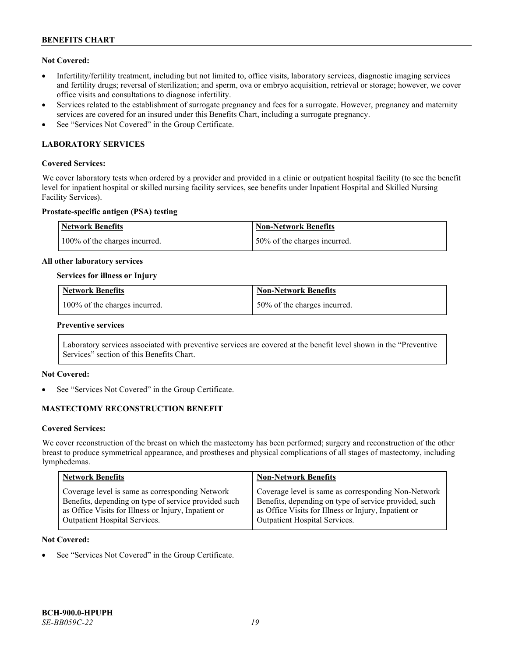# **Not Covered:**

- Infertility/fertility treatment, including but not limited to, office visits, laboratory services, diagnostic imaging services and fertility drugs; reversal of sterilization; and sperm, ova or embryo acquisition, retrieval or storage; however, we cover office visits and consultations to diagnose infertility.
- Services related to the establishment of surrogate pregnancy and fees for a surrogate. However, pregnancy and maternity services are covered for an insured under this Benefits Chart, including a surrogate pregnancy.
- See "Services Not Covered" in the Group Certificate.

# **LABORATORY SERVICES**

# **Covered Services:**

We cover laboratory tests when ordered by a provider and provided in a clinic or outpatient hospital facility (to see the benefit level for inpatient hospital or skilled nursing facility services, see benefits under Inpatient Hospital and Skilled Nursing Facility Services).

### **Prostate-specific antigen (PSA) testing**

| Network Benefits              | Non-Network Benefits          |
|-------------------------------|-------------------------------|
| 100% of the charges incurred. | 150% of the charges incurred. |

### **All other laboratory services**

### **Services for illness or Injury**

| <b>Network Benefits</b>       | <b>Non-Network Benefits</b>  |
|-------------------------------|------------------------------|
| 100% of the charges incurred. | 50% of the charges incurred. |

#### **Preventive services**

Laboratory services associated with preventive services are covered at the benefit level shown in the "Preventive Services" section of this Benefits Chart.

# **Not Covered:**

See "Services Not Covered" in the Group Certificate.

# **MASTECTOMY RECONSTRUCTION BENEFIT**

#### **Covered Services:**

We cover reconstruction of the breast on which the mastectomy has been performed; surgery and reconstruction of the other breast to produce symmetrical appearance, and prostheses and physical complications of all stages of mastectomy, including lymphedemas.

| <b>Network Benefits</b>                              | <b>Non-Network Benefits</b>                           |
|------------------------------------------------------|-------------------------------------------------------|
| Coverage level is same as corresponding Network      | Coverage level is same as corresponding Non-Network   |
| Benefits, depending on type of service provided such | Benefits, depending on type of service provided, such |
| as Office Visits for Illness or Injury, Inpatient or | as Office Visits for Illness or Injury, Inpatient or  |
| Outpatient Hospital Services.                        | Outpatient Hospital Services.                         |

### **Not Covered:**

See "Services Not Covered" in the Group Certificate.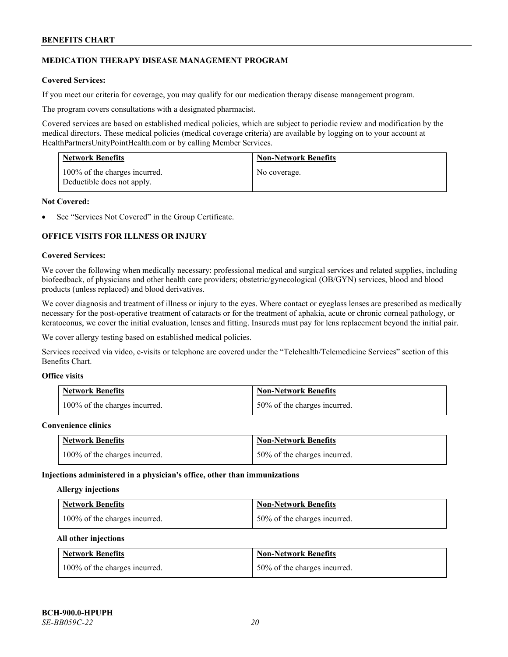# **MEDICATION THERAPY DISEASE MANAGEMENT PROGRAM**

# **Covered Services:**

If you meet our criteria for coverage, you may qualify for our medication therapy disease management program.

The program covers consultations with a designated pharmacist.

Covered services are based on established medical policies, which are subject to periodic review and modification by the medical directors. These medical policies (medical coverage criteria) are available by logging on to your account at [HealthPartnersUnityPointHealth.com](https://www.healthpartnersunitypointhealth.com/) or by calling Member Services.

| <b>Network Benefits</b>                                     | <b>Non-Network Benefits</b> |
|-------------------------------------------------------------|-----------------------------|
| 100% of the charges incurred.<br>Deductible does not apply. | No coverage.                |

# **Not Covered:**

See "Services Not Covered" in the Group Certificate.

# **OFFICE VISITS FOR ILLNESS OR INJURY**

### **Covered Services:**

We cover the following when medically necessary: professional medical and surgical services and related supplies, including biofeedback, of physicians and other health care providers; obstetric/gynecological (OB/GYN) services, blood and blood products (unless replaced) and blood derivatives.

We cover diagnosis and treatment of illness or injury to the eyes. Where contact or eyeglass lenses are prescribed as medically necessary for the post-operative treatment of cataracts or for the treatment of aphakia, acute or chronic corneal pathology, or keratoconus, we cover the initial evaluation, lenses and fitting. Insureds must pay for lens replacement beyond the initial pair.

We cover allergy testing based on established medical policies.

Services received via video, e-visits or telephone are covered under the "Telehealth/Telemedicine Services" section of this Benefits Chart.

# **Office visits**

| <b>Network Benefits</b>       | <b>Non-Network Benefits</b>  |
|-------------------------------|------------------------------|
| 100% of the charges incurred. | 50% of the charges incurred. |

#### **Convenience clinics**

| <b>Network Benefits</b>       | <b>Non-Network Benefits</b>  |
|-------------------------------|------------------------------|
| 100% of the charges incurred. | 50% of the charges incurred. |

#### **Injections administered in a physician's office, other than immunizations**

#### **Allergy injections**

| <b>Network Benefits</b>       | <b>Non-Network Benefits</b>  |
|-------------------------------|------------------------------|
| 100% of the charges incurred. | 50% of the charges incurred. |

#### **All other injections**

| <b>Network Benefits</b>       | <b>Non-Network Benefits</b>  |
|-------------------------------|------------------------------|
| 100% of the charges incurred. | 50% of the charges incurred. |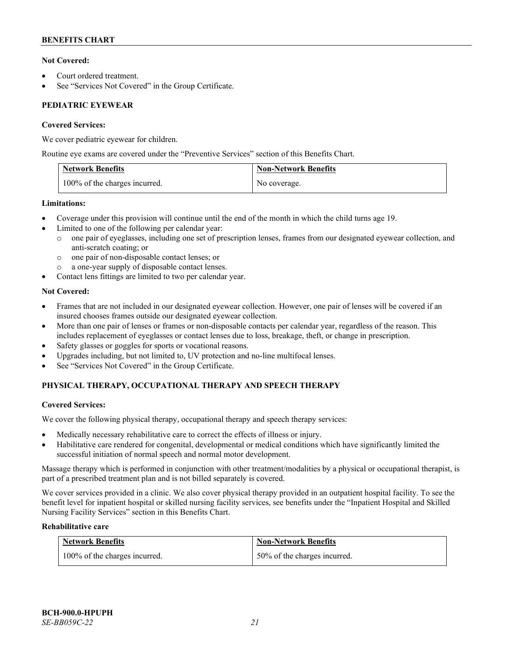# **Not Covered:**

- Court ordered treatment.
- See "Services Not Covered" in the Group Certificate.

# **PEDIATRIC EYEWEAR**

# **Covered Services:**

We cover pediatric eyewear for children.

Routine eye exams are covered under the "Preventive Services" section of this Benefits Chart.

| <b>Network Benefits</b>       | <b>Non-Network Benefits</b> |
|-------------------------------|-----------------------------|
| 100% of the charges incurred. | No coverage.                |

# **Limitations:**

- Coverage under this provision will continue until the end of the month in which the child turns age 19.
- Limited to one of the following per calendar year:
	- o one pair of eyeglasses, including one set of prescription lenses, frames from our designated eyewear collection, and anti-scratch coating; or
	- o one pair of non-disposable contact lenses; or
	- a one-year supply of disposable contact lenses.
- Contact lens fittings are limited to two per calendar year.

# **Not Covered:**

- Frames that are not included in our designated eyewear collection. However, one pair of lenses will be covered if an insured chooses frames outside our designated eyewear collection.
- More than one pair of lenses or frames or non-disposable contacts per calendar year, regardless of the reason. This includes replacement of eyeglasses or contact lenses due to loss, breakage, theft, or change in prescription.
- Safety glasses or goggles for sports or vocational reasons.
- Upgrades including, but not limited to, UV protection and no-line multifocal lenses.
- See "Services Not Covered" in the Group Certificate.

# **PHYSICAL THERAPY, OCCUPATIONAL THERAPY AND SPEECH THERAPY**

# **Covered Services:**

We cover the following physical therapy, occupational therapy and speech therapy services:

- Medically necessary rehabilitative care to correct the effects of illness or injury.
- Habilitative care rendered for congenital, developmental or medical conditions which have significantly limited the successful initiation of normal speech and normal motor development.

Massage therapy which is performed in conjunction with other treatment/modalities by a physical or occupational therapist, is part of a prescribed treatment plan and is not billed separately is covered.

We cover services provided in a clinic. We also cover physical therapy provided in an outpatient hospital facility. To see the benefit level for inpatient hospital or skilled nursing facility services, see benefits under the "Inpatient Hospital and Skilled Nursing Facility Services" section in this Benefits Chart.

# **Rehabilitative care**

| <b>Network Benefits</b>       | <b>Non-Network Benefits</b>  |
|-------------------------------|------------------------------|
| 100% of the charges incurred. | 50% of the charges incurred. |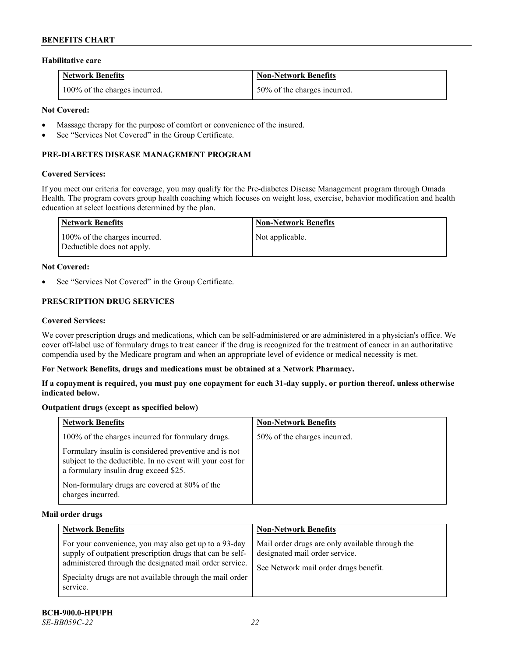### **Habilitative care**

| <b>Network Benefits</b>       | <b>Non-Network Benefits</b>  |
|-------------------------------|------------------------------|
| 100% of the charges incurred. | 50% of the charges incurred. |

# **Not Covered:**

- Massage therapy for the purpose of comfort or convenience of the insured.
- See "Services Not Covered" in the Group Certificate.

# **PRE-DIABETES DISEASE MANAGEMENT PROGRAM**

### **Covered Services:**

If you meet our criteria for coverage, you may qualify for the Pre-diabetes Disease Management program through Omada Health. The program covers group health coaching which focuses on weight loss, exercise, behavior modification and health education at select locations determined by the plan.

| Network Benefits                                            | <b>Non-Network Benefits</b> |
|-------------------------------------------------------------|-----------------------------|
| 100% of the charges incurred.<br>Deductible does not apply. | Not applicable.             |

### **Not Covered:**

See "Services Not Covered" in the Group Certificate.

# **PRESCRIPTION DRUG SERVICES**

#### **Covered Services:**

We cover prescription drugs and medications, which can be self-administered or are administered in a physician's office. We cover off-label use of formulary drugs to treat cancer if the drug is recognized for the treatment of cancer in an authoritative compendia used by the Medicare program and when an appropriate level of evidence or medical necessity is met.

# **For Network Benefits, drugs and medications must be obtained at a Network Pharmacy.**

**If a copayment is required, you must pay one copayment for each 31-day supply, or portion thereof, unless otherwise indicated below.**

# **Outpatient drugs (except as specified below)**

| <b>Network Benefits</b>                                                                                                                                     | <b>Non-Network Benefits</b>  |
|-------------------------------------------------------------------------------------------------------------------------------------------------------------|------------------------------|
| 100% of the charges incurred for formulary drugs.                                                                                                           | 50% of the charges incurred. |
| Formulary insulin is considered preventive and is not<br>subject to the deductible. In no event will your cost for<br>a formulary insulin drug exceed \$25. |                              |
| Non-formulary drugs are covered at 80% of the<br>charges incurred.                                                                                          |                              |

#### **Mail order drugs**

| <b>Network Benefits</b>                                                                                                                                                                                                                               | <b>Non-Network Benefits</b>                                                                                                |
|-------------------------------------------------------------------------------------------------------------------------------------------------------------------------------------------------------------------------------------------------------|----------------------------------------------------------------------------------------------------------------------------|
| For your convenience, you may also get up to a 93-day<br>supply of outpatient prescription drugs that can be self-<br>administered through the designated mail order service.<br>Specialty drugs are not available through the mail order<br>service. | Mail order drugs are only available through the<br>designated mail order service.<br>See Network mail order drugs benefit. |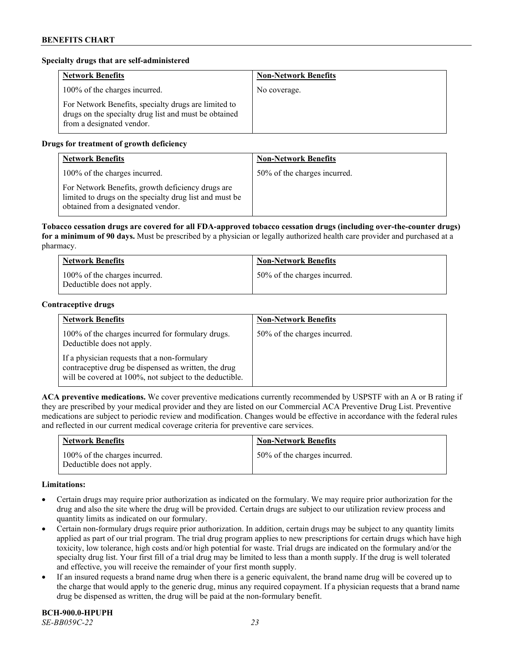# **Specialty drugs that are self-administered**

| <b>Network Benefits</b>                                                                                                                    | <b>Non-Network Benefits</b> |
|--------------------------------------------------------------------------------------------------------------------------------------------|-----------------------------|
| 100% of the charges incurred.                                                                                                              | No coverage.                |
| For Network Benefits, specialty drugs are limited to<br>drugs on the specialty drug list and must be obtained<br>from a designated vendor. |                             |

# **Drugs for treatment of growth deficiency**

| <b>Network Benefits</b>                                                                                                                            | <b>Non-Network Benefits</b>  |
|----------------------------------------------------------------------------------------------------------------------------------------------------|------------------------------|
| 100% of the charges incurred.                                                                                                                      | 50% of the charges incurred. |
| For Network Benefits, growth deficiency drugs are<br>limited to drugs on the specialty drug list and must be<br>obtained from a designated vendor. |                              |

**Tobacco cessation drugs are covered for all FDA-approved tobacco cessation drugs (including over-the-counter drugs) for a minimum of 90 days.** Must be prescribed by a physician or legally authorized health care provider and purchased at a pharmacy.

| <b>Network Benefits</b>                                     | <b>Non-Network Benefits</b>  |
|-------------------------------------------------------------|------------------------------|
| 100% of the charges incurred.<br>Deductible does not apply. | 50% of the charges incurred. |

#### **Contraceptive drugs**

| <b>Network Benefits</b>                                                                                                                                         | <b>Non-Network Benefits</b>  |
|-----------------------------------------------------------------------------------------------------------------------------------------------------------------|------------------------------|
| 100% of the charges incurred for formulary drugs.<br>Deductible does not apply.                                                                                 | 50% of the charges incurred. |
| If a physician requests that a non-formulary<br>contraceptive drug be dispensed as written, the drug<br>will be covered at 100%, not subject to the deductible. |                              |

**ACA preventive medications.** We cover preventive medications currently recommended by USPSTF with an A or B rating if they are prescribed by your medical provider and they are listed on our Commercial ACA Preventive Drug List. Preventive medications are subject to periodic review and modification. Changes would be effective in accordance with the federal rules and reflected in our current medical coverage criteria for preventive care services.

| <b>Network Benefits</b>                                     | <b>Non-Network Benefits</b>  |
|-------------------------------------------------------------|------------------------------|
| 100% of the charges incurred.<br>Deductible does not apply. | 50% of the charges incurred. |

#### **Limitations:**

- Certain drugs may require prior authorization as indicated on the formulary. We may require prior authorization for the drug and also the site where the drug will be provided. Certain drugs are subject to our utilization review process and quantity limits as indicated on our formulary.
- Certain non-formulary drugs require prior authorization. In addition, certain drugs may be subject to any quantity limits applied as part of our trial program. The trial drug program applies to new prescriptions for certain drugs which have high toxicity, low tolerance, high costs and/or high potential for waste. Trial drugs are indicated on the formulary and/or the specialty drug list. Your first fill of a trial drug may be limited to less than a month supply. If the drug is well tolerated and effective, you will receive the remainder of your first month supply.
- If an insured requests a brand name drug when there is a generic equivalent, the brand name drug will be covered up to the charge that would apply to the generic drug, minus any required copayment. If a physician requests that a brand name drug be dispensed as written, the drug will be paid at the non-formulary benefit.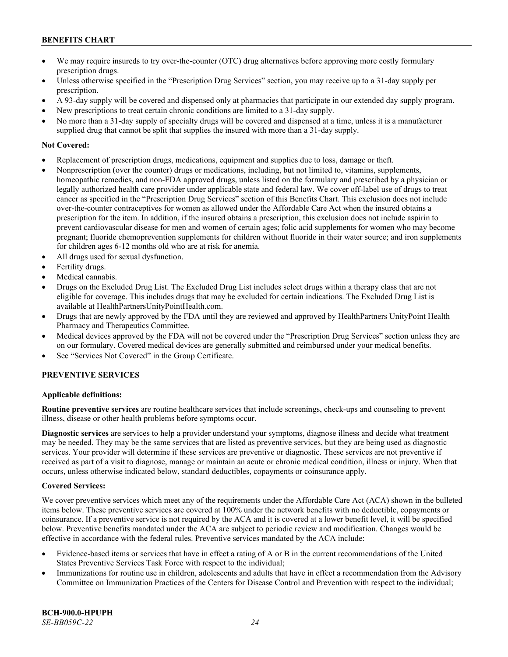- We may require insureds to try over-the-counter (OTC) drug alternatives before approving more costly formulary prescription drugs.
- Unless otherwise specified in the "Prescription Drug Services" section, you may receive up to a 31-day supply per prescription.
- A 93-day supply will be covered and dispensed only at pharmacies that participate in our extended day supply program.
- New prescriptions to treat certain chronic conditions are limited to a 31-day supply.
- No more than a 31-day supply of specialty drugs will be covered and dispensed at a time, unless it is a manufacturer supplied drug that cannot be split that supplies the insured with more than a 31-day supply.

# **Not Covered:**

- Replacement of prescription drugs, medications, equipment and supplies due to loss, damage or theft.
- Nonprescription (over the counter) drugs or medications, including, but not limited to, vitamins, supplements, homeopathic remedies, and non-FDA approved drugs, unless listed on the formulary and prescribed by a physician or legally authorized health care provider under applicable state and federal law. We cover off-label use of drugs to treat cancer as specified in the "Prescription Drug Services" section of this Benefits Chart. This exclusion does not include over-the-counter contraceptives for women as allowed under the Affordable Care Act when the insured obtains a prescription for the item. In addition, if the insured obtains a prescription, this exclusion does not include aspirin to prevent cardiovascular disease for men and women of certain ages; folic acid supplements for women who may become pregnant; fluoride chemoprevention supplements for children without fluoride in their water source; and iron supplements for children ages 6-12 months old who are at risk for anemia.
- All drugs used for sexual dysfunction.
- Fertility drugs.
- Medical cannabis.
- Drugs on the Excluded Drug List. The Excluded Drug List includes select drugs within a therapy class that are not eligible for coverage. This includes drugs that may be excluded for certain indications. The Excluded Drug List is available a[t HealthPartnersUnityPointHealth.com.](https://www.healthpartnersunitypointhealth.com/)
- Drugs that are newly approved by the FDA until they are reviewed and approved by HealthPartners UnityPoint Health Pharmacy and Therapeutics Committee.
- Medical devices approved by the FDA will not be covered under the "Prescription Drug Services" section unless they are on our formulary. Covered medical devices are generally submitted and reimbursed under your medical benefits.
- See "Services Not Covered" in the Group Certificate.

# **PREVENTIVE SERVICES**

# **Applicable definitions:**

**Routine preventive services** are routine healthcare services that include screenings, check-ups and counseling to prevent illness, disease or other health problems before symptoms occur.

**Diagnostic services** are services to help a provider understand your symptoms, diagnose illness and decide what treatment may be needed. They may be the same services that are listed as preventive services, but they are being used as diagnostic services. Your provider will determine if these services are preventive or diagnostic. These services are not preventive if received as part of a visit to diagnose, manage or maintain an acute or chronic medical condition, illness or injury. When that occurs, unless otherwise indicated below, standard deductibles, copayments or coinsurance apply.

# **Covered Services:**

We cover preventive services which meet any of the requirements under the Affordable Care Act (ACA) shown in the bulleted items below. These preventive services are covered at 100% under the network benefits with no deductible, copayments or coinsurance. If a preventive service is not required by the ACA and it is covered at a lower benefit level, it will be specified below. Preventive benefits mandated under the ACA are subject to periodic review and modification. Changes would be effective in accordance with the federal rules. Preventive services mandated by the ACA include:

- Evidence-based items or services that have in effect a rating of A or B in the current recommendations of the United States Preventive Services Task Force with respect to the individual;
- Immunizations for routine use in children, adolescents and adults that have in effect a recommendation from the Advisory Committee on Immunization Practices of the Centers for Disease Control and Prevention with respect to the individual;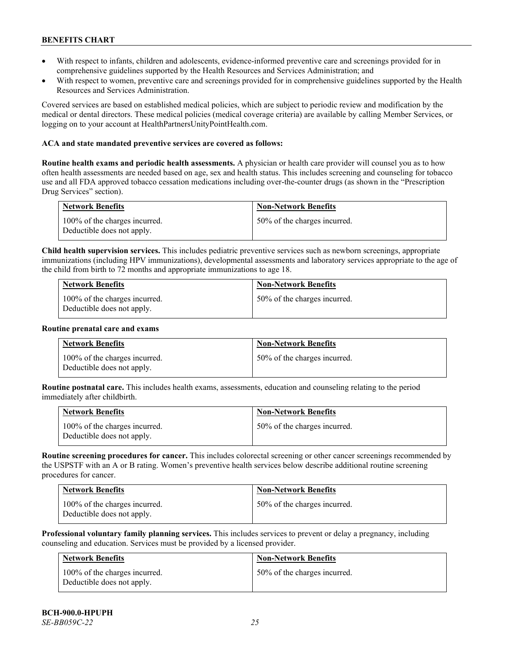- With respect to infants, children and adolescents, evidence-informed preventive care and screenings provided for in comprehensive guidelines supported by the Health Resources and Services Administration; and
- With respect to women, preventive care and screenings provided for in comprehensive guidelines supported by the Health Resources and Services Administration.

Covered services are based on established medical policies, which are subject to periodic review and modification by the medical or dental directors. These medical policies (medical coverage criteria) are available by calling Member Services, or logging on to your account at [HealthPartnersUnityPointHealth.com.](https://www.healthpartnersunitypointhealth.com/)

# **ACA and state mandated preventive services are covered as follows:**

**Routine health exams and periodic health assessments.** A physician or health care provider will counsel you as to how often health assessments are needed based on age, sex and health status. This includes screening and counseling for tobacco use and all FDA approved tobacco cessation medications including over-the-counter drugs (as shown in the "Prescription Drug Services" section).

| <b>Network Benefits</b>                                     | <b>Non-Network Benefits</b>  |
|-------------------------------------------------------------|------------------------------|
| 100% of the charges incurred.<br>Deductible does not apply. | 50% of the charges incurred. |

**Child health supervision services.** This includes pediatric preventive services such as newborn screenings, appropriate immunizations (including HPV immunizations), developmental assessments and laboratory services appropriate to the age of the child from birth to 72 months and appropriate immunizations to age 18.

| <b>Network Benefits</b>                                     | <b>Non-Network Benefits</b>  |
|-------------------------------------------------------------|------------------------------|
| 100% of the charges incurred.<br>Deductible does not apply. | 50% of the charges incurred. |

#### **Routine prenatal care and exams**

| <b>Network Benefits</b>                                     | <b>Non-Network Benefits</b>  |
|-------------------------------------------------------------|------------------------------|
| 100% of the charges incurred.<br>Deductible does not apply. | 50% of the charges incurred. |

**Routine postnatal care.** This includes health exams, assessments, education and counseling relating to the period immediately after childbirth.

| <b>Network Benefits</b>                                     | <b>Non-Network Benefits</b>  |
|-------------------------------------------------------------|------------------------------|
| 100% of the charges incurred.<br>Deductible does not apply. | 50% of the charges incurred. |

**Routine screening procedures for cancer.** This includes colorectal screening or other cancer screenings recommended by the USPSTF with an A or B rating. Women's preventive health services below describe additional routine screening procedures for cancer.

| Network Benefits                                            | <b>Non-Network Benefits</b>  |
|-------------------------------------------------------------|------------------------------|
| 100% of the charges incurred.<br>Deductible does not apply. | 50% of the charges incurred. |

**Professional voluntary family planning services.** This includes services to prevent or delay a pregnancy, including counseling and education. Services must be provided by a licensed provider.

| Network Benefits                                            | <b>Non-Network Benefits</b>  |
|-------------------------------------------------------------|------------------------------|
| 100% of the charges incurred.<br>Deductible does not apply. | 50% of the charges incurred. |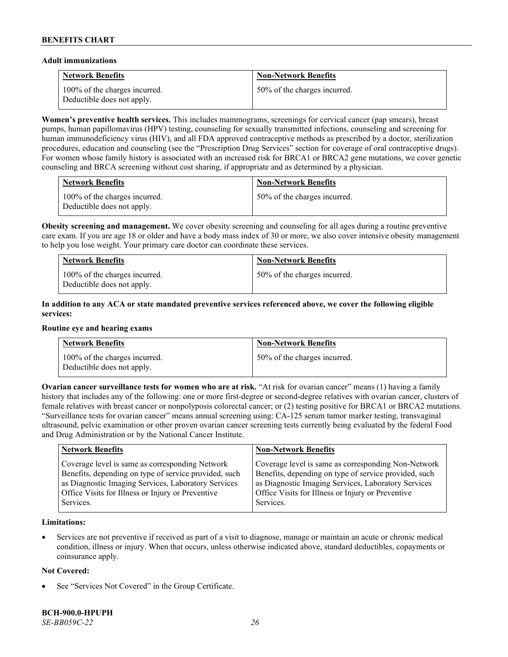#### **Adult immunizations**

| <b>Network Benefits</b>                                     | <b>Non-Network Benefits</b>  |
|-------------------------------------------------------------|------------------------------|
| 100% of the charges incurred.<br>Deductible does not apply. | 50% of the charges incurred. |

**Women's preventive health services.** This includes mammograms, screenings for cervical cancer (pap smears), breast pumps, human papillomavirus (HPV) testing, counseling for sexually transmitted infections, counseling and screening for human immunodeficiency virus (HIV), and all FDA approved contraceptive methods as prescribed by a doctor, sterilization procedures, education and counseling (see the "Prescription Drug Services" section for coverage of oral contraceptive drugs). For women whose family history is associated with an increased risk for BRCA1 or BRCA2 gene mutations, we cover genetic counseling and BRCA screening without cost sharing, if appropriate and as determined by a physician.

| <b>Network Benefits</b>                                     | <b>Non-Network Benefits</b>  |
|-------------------------------------------------------------|------------------------------|
| 100% of the charges incurred.<br>Deductible does not apply. | 50% of the charges incurred. |

**Obesity screening and management.** We cover obesity screening and counseling for all ages during a routine preventive care exam. If you are age 18 or older and have a body mass index of 30 or more, we also cover intensive obesity management to help you lose weight. Your primary care doctor can coordinate these services.

| <b>Network Benefits</b>                                     | <b>Non-Network Benefits</b>  |
|-------------------------------------------------------------|------------------------------|
| 100% of the charges incurred.<br>Deductible does not apply. | 50% of the charges incurred. |

# **In addition to any ACA or state mandated preventive services referenced above, we cover the following eligible services:**

#### **Routine eye and hearing exams**

| <b>Network Benefits</b>                                     | <b>Non-Network Benefits</b>  |
|-------------------------------------------------------------|------------------------------|
| 100% of the charges incurred.<br>Deductible does not apply. | 50% of the charges incurred. |

**Ovarian cancer surveillance tests for women who are at risk. "At risk for ovarian cancer" means (1) having a family** history that includes any of the following: one or more first-degree or second-degree relatives with ovarian cancer, clusters of female relatives with breast cancer or nonpolyposis colorectal cancer; or (2) testing positive for BRCA1 or BRCA2 mutations. "Surveillance tests for ovarian cancer" means annual screening using: CA-125 serum tumor marker testing, transvaginal ultrasound, pelvic examination or other proven ovarian cancer screening tests currently being evaluated by the federal Food and Drug Administration or by the National Cancer Institute.

| <b>Network Benefits</b>                               | <b>Non-Network Benefits</b>                           |
|-------------------------------------------------------|-------------------------------------------------------|
| Coverage level is same as corresponding Network       | Coverage level is same as corresponding Non-Network   |
| Benefits, depending on type of service provided, such | Benefits, depending on type of service provided, such |
| as Diagnostic Imaging Services, Laboratory Services   | as Diagnostic Imaging Services, Laboratory Services   |
| Office Visits for Illness or Injury or Preventive     | Office Visits for Illness or Injury or Preventive     |
| Services.                                             | Services.                                             |

# **Limitations:**

• Services are not preventive if received as part of a visit to diagnose, manage or maintain an acute or chronic medical condition, illness or injury. When that occurs, unless otherwise indicated above, standard deductibles, copayments or coinsurance apply.

# **Not Covered:**

See "Services Not Covered" in the Group Certificate.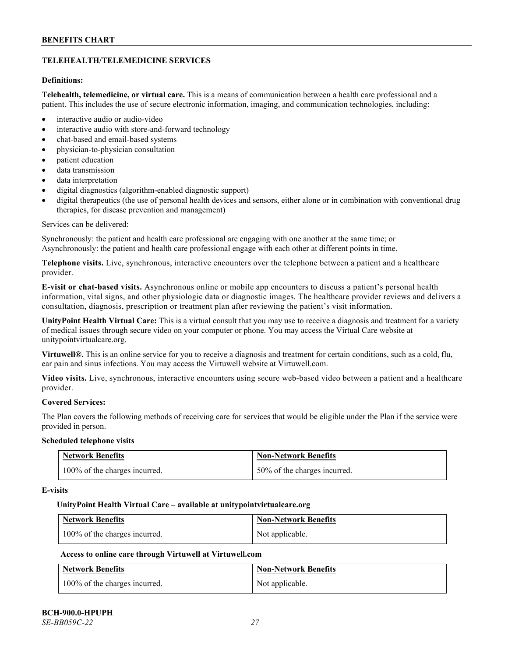# **TELEHEALTH/TELEMEDICINE SERVICES**

# **Definitions:**

**Telehealth, telemedicine, or virtual care.** This is a means of communication between a health care professional and a patient. This includes the use of secure electronic information, imaging, and communication technologies, including:

- interactive audio or audio-video
- interactive audio with store-and-forward technology
- chat-based and email-based systems
- physician-to-physician consultation
- patient education
- data transmission
- data interpretation
- digital diagnostics (algorithm-enabled diagnostic support)
- digital therapeutics (the use of personal health devices and sensors, either alone or in combination with conventional drug therapies, for disease prevention and management)

#### Services can be delivered:

Synchronously: the patient and health care professional are engaging with one another at the same time; or Asynchronously: the patient and health care professional engage with each other at different points in time.

**Telephone visits.** Live, synchronous, interactive encounters over the telephone between a patient and a healthcare provider.

**E-visit or chat-based visits.** Asynchronous online or mobile app encounters to discuss a patient's personal health information, vital signs, and other physiologic data or diagnostic images. The healthcare provider reviews and delivers a consultation, diagnosis, prescription or treatment plan after reviewing the patient's visit information.

**UnityPoint Health Virtual Care:** This is a virtual consult that you may use to receive a diagnosis and treatment for a variety of medical issues through secure video on your computer or phone. You may access the Virtual Care website at [unitypointvirtualcare.org.](https://unitypointvirtualcare.org/landing.htm)

**Virtuwell®.** This is an online service for you to receive a diagnosis and treatment for certain conditions, such as a cold, flu, ear pain and sinus infections. You may access the Virtuwell website at [Virtuwell.com.](https://www.virtuwell.com/)

**Video visits.** Live, synchronous, interactive encounters using secure web-based video between a patient and a healthcare provider.

# **Covered Services:**

The Plan covers the following methods of receiving care for services that would be eligible under the Plan if the service were provided in person.

#### **Scheduled telephone visits**

| <b>Network Benefits</b>       | <b>Non-Network Benefits</b>  |
|-------------------------------|------------------------------|
| 100% of the charges incurred. | 50% of the charges incurred. |

#### **E-visits**

#### **UnityPoint Health Virtual Care – available a[t unitypointvirtualcare.org](http://www.unitypointvirtualcare.org/)**

| <b>Network Benefits</b>       | <b>Non-Network Benefits</b> |
|-------------------------------|-----------------------------|
| 100% of the charges incurred. | Not applicable.             |

# **Access to online care through Virtuwell at [Virtuwell.com](http://www.virtuwell.com/)**

| <b>Network Benefits</b>       | <b>Non-Network Benefits</b> |
|-------------------------------|-----------------------------|
| 100% of the charges incurred. | Not applicable.             |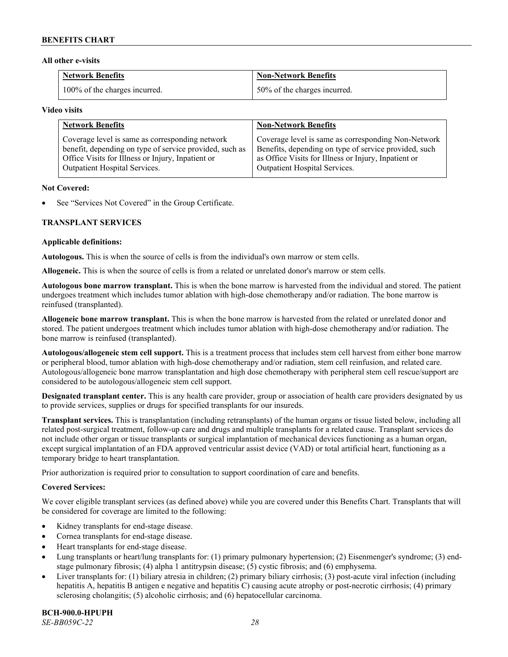### **All other e-visits**

| <b>Network Benefits</b>       | <b>Non-Network Benefits</b>  |
|-------------------------------|------------------------------|
| 100% of the charges incurred. | 50% of the charges incurred. |

#### **Video visits**

| <b>Network Benefits</b>                                 | <b>Non-Network Benefits</b>                           |
|---------------------------------------------------------|-------------------------------------------------------|
| Coverage level is same as corresponding network         | Coverage level is same as corresponding Non-Network   |
| benefit, depending on type of service provided, such as | Benefits, depending on type of service provided, such |
| Office Visits for Illness or Injury, Inpatient or       | as Office Visits for Illness or Injury, Inpatient or  |
| Outpatient Hospital Services.                           | Outpatient Hospital Services.                         |

### **Not Covered:**

See "Services Not Covered" in the Group Certificate.

# **TRANSPLANT SERVICES**

### **Applicable definitions:**

**Autologous.** This is when the source of cells is from the individual's own marrow or stem cells.

**Allogeneic.** This is when the source of cells is from a related or unrelated donor's marrow or stem cells.

**Autologous bone marrow transplant.** This is when the bone marrow is harvested from the individual and stored. The patient undergoes treatment which includes tumor ablation with high-dose chemotherapy and/or radiation. The bone marrow is reinfused (transplanted).

**Allogeneic bone marrow transplant.** This is when the bone marrow is harvested from the related or unrelated donor and stored. The patient undergoes treatment which includes tumor ablation with high-dose chemotherapy and/or radiation. The bone marrow is reinfused (transplanted).

**Autologous/allogeneic stem cell support.** This is a treatment process that includes stem cell harvest from either bone marrow or peripheral blood, tumor ablation with high-dose chemotherapy and/or radiation, stem cell reinfusion, and related care. Autologous/allogeneic bone marrow transplantation and high dose chemotherapy with peripheral stem cell rescue/support are considered to be autologous/allogeneic stem cell support.

**Designated transplant center.** This is any health care provider, group or association of health care providers designated by us to provide services, supplies or drugs for specified transplants for our insureds.

**Transplant services.** This is transplantation (including retransplants) of the human organs or tissue listed below, including all related post-surgical treatment, follow-up care and drugs and multiple transplants for a related cause. Transplant services do not include other organ or tissue transplants or surgical implantation of mechanical devices functioning as a human organ, except surgical implantation of an FDA approved ventricular assist device (VAD) or total artificial heart, functioning as a temporary bridge to heart transplantation.

Prior authorization is required prior to consultation to support coordination of care and benefits.

# **Covered Services:**

We cover eligible transplant services (as defined above) while you are covered under this Benefits Chart. Transplants that will be considered for coverage are limited to the following:

- Kidney transplants for end-stage disease.
- Cornea transplants for end-stage disease.
- Heart transplants for end-stage disease.
- Lung transplants or heart/lung transplants for: (1) primary pulmonary hypertension; (2) Eisenmenger's syndrome; (3) endstage pulmonary fibrosis; (4) alpha 1 antitrypsin disease; (5) cystic fibrosis; and (6) emphysema.
- Liver transplants for: (1) biliary atresia in children; (2) primary biliary cirrhosis; (3) post-acute viral infection (including hepatitis A, hepatitis B antigen e negative and hepatitis C) causing acute atrophy or post-necrotic cirrhosis; (4) primary sclerosing cholangitis; (5) alcoholic cirrhosis; and (6) hepatocellular carcinoma.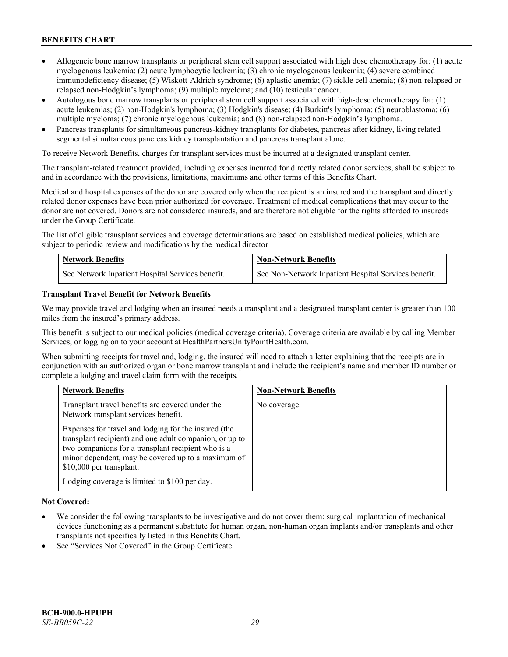- Allogeneic bone marrow transplants or peripheral stem cell support associated with high dose chemotherapy for: (1) acute myelogenous leukemia; (2) acute lymphocytic leukemia; (3) chronic myelogenous leukemia; (4) severe combined immunodeficiency disease; (5) Wiskott-Aldrich syndrome; (6) aplastic anemia; (7) sickle cell anemia; (8) non-relapsed or relapsed non-Hodgkin's lymphoma; (9) multiple myeloma; and (10) testicular cancer.
- Autologous bone marrow transplants or peripheral stem cell support associated with high-dose chemotherapy for: (1) acute leukemias; (2) non-Hodgkin's lymphoma; (3) Hodgkin's disease; (4) Burkitt's lymphoma; (5) neuroblastoma; (6) multiple myeloma; (7) chronic myelogenous leukemia; and (8) non-relapsed non-Hodgkin's lymphoma.
- Pancreas transplants for simultaneous pancreas-kidney transplants for diabetes, pancreas after kidney, living related segmental simultaneous pancreas kidney transplantation and pancreas transplant alone.

To receive Network Benefits, charges for transplant services must be incurred at a designated transplant center.

The transplant-related treatment provided, including expenses incurred for directly related donor services, shall be subject to and in accordance with the provisions, limitations, maximums and other terms of this Benefits Chart.

Medical and hospital expenses of the donor are covered only when the recipient is an insured and the transplant and directly related donor expenses have been prior authorized for coverage. Treatment of medical complications that may occur to the donor are not covered. Donors are not considered insureds, and are therefore not eligible for the rights afforded to insureds under the Group Certificate.

The list of eligible transplant services and coverage determinations are based on established medical policies, which are subject to periodic review and modifications by the medical director

| <b>Network Benefits</b>                          | <b>Non-Network Benefits</b>                          |
|--------------------------------------------------|------------------------------------------------------|
| See Network Inpatient Hospital Services benefit. | See Non-Network Inpatient Hospital Services benefit. |

### **Transplant Travel Benefit for Network Benefits**

We may provide travel and lodging when an insured needs a transplant and a designated transplant center is greater than 100 miles from the insured's primary address.

This benefit is subject to our medical policies (medical coverage criteria). Coverage criteria are available by calling Member Services, or logging on to your account at [HealthPartnersUnityPointHealth.com.](https://www.healthpartnersunitypointhealth.com/)

When submitting receipts for travel and, lodging, the insured will need to attach a letter explaining that the receipts are in conjunction with an authorized organ or bone marrow transplant and include the recipient's name and member ID number or complete a lodging and travel claim form with the receipts.

| <b>Network Benefits</b>                                                                                                                                                                                                                                 | <b>Non-Network Benefits</b> |
|---------------------------------------------------------------------------------------------------------------------------------------------------------------------------------------------------------------------------------------------------------|-----------------------------|
| Transplant travel benefits are covered under the<br>Network transplant services benefit.                                                                                                                                                                | No coverage.                |
| Expenses for travel and lodging for the insured (the<br>transplant recipient) and one adult companion, or up to<br>two companions for a transplant recipient who is a<br>minor dependent, may be covered up to a maximum of<br>\$10,000 per transplant. |                             |
| Lodging coverage is limited to \$100 per day.                                                                                                                                                                                                           |                             |

# **Not Covered:**

- We consider the following transplants to be investigative and do not cover them: surgical implantation of mechanical devices functioning as a permanent substitute for human organ, non-human organ implants and/or transplants and other transplants not specifically listed in this Benefits Chart.
- See "Services Not Covered" in the Group Certificate.